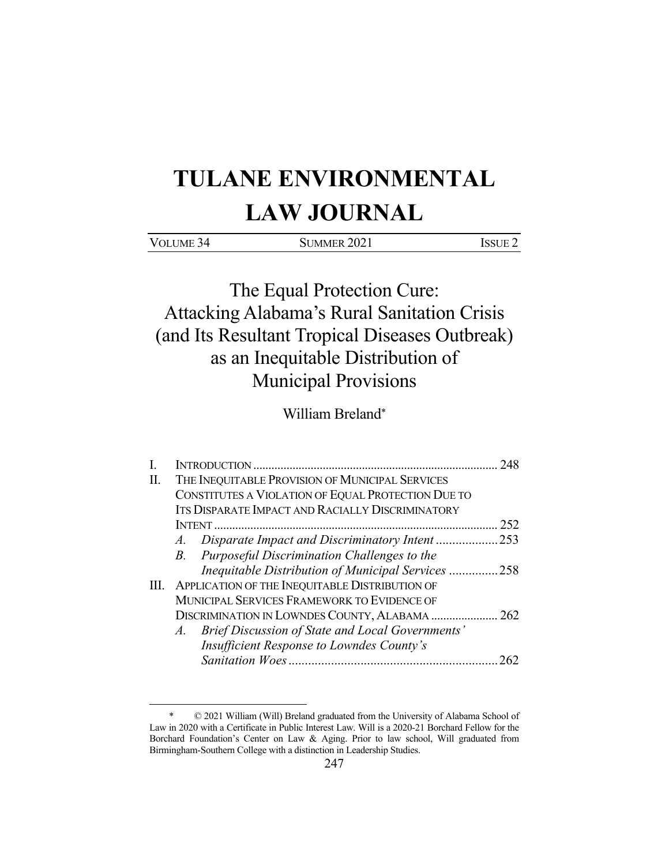# **TULANE ENVIRONMENTAL LAW JOURNAL**

| <b>VOLUME</b><br>. | 2021<br>'I IMMER<br>′∠ ⊥ |  |
|--------------------|--------------------------|--|
|                    |                          |  |

The Equal Protection Cure: Attacking Alabama's Rural Sanitation Crisis (and Its Resultant Tropical Diseases Outbreak) as an Inequitable Distribution of Municipal Provisions

William Breland\*

|    | <b>INTRODUCTION</b>                                        | 248 |
|----|------------------------------------------------------------|-----|
| П. | THE INEQUITABLE PROVISION OF MUNICIPAL SERVICES            |     |
|    | CONSTITUTES A VIOLATION OF EQUAL PROTECTION DUE TO         |     |
|    | ITS DISPARATE IMPACT AND RACIALLY DISCRIMINATORY           |     |
|    |                                                            | 252 |
|    |                                                            | 253 |
|    | Purposeful Discrimination Challenges to the<br>$B_{\cdot}$ |     |
|    | Inequitable Distribution of Municipal Services 258         |     |
| Ш. | APPLICATION OF THE INEQUITABLE DISTRIBUTION OF             |     |
|    | MUNICIPAL SERVICES FRAMEWORK TO EVIDENCE OF                |     |
|    | DISCRIMINATION IN LOWNDES COUNTY, ALABAMA                  | 262 |
|    | Brief Discussion of State and Local Governments'<br>$A$ .  |     |
|    | Insufficient Response to Lowndes County's                  |     |
|    |                                                            |     |

 <sup>\* © 2021</sup> William (Will) Breland graduated from the University of Alabama School of Law in 2020 with a Certificate in Public Interest Law. Will is a 2020-21 Borchard Fellow for the Borchard Foundation's Center on Law & Aging. Prior to law school, Will graduated from Birmingham-Southern College with a distinction in Leadership Studies.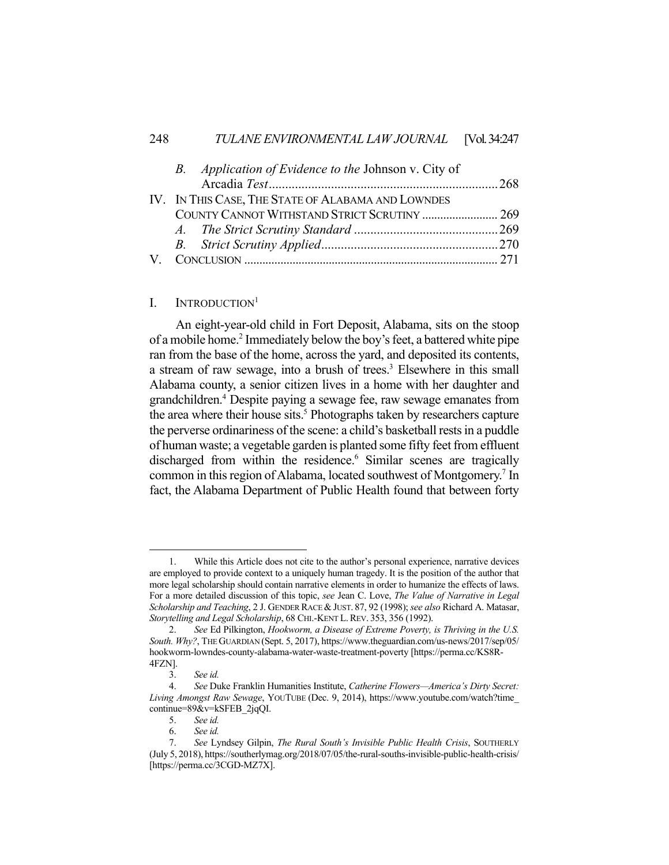| B. Application of Evidence to the Johnson v. City of<br>IV. IN THIS CASE, THE STATE OF ALABAMA AND LOWNDES<br>COUNTY CANNOT WITHSTAND STRICT SCRUTINY  269 |
|------------------------------------------------------------------------------------------------------------------------------------------------------------|

## I. INTRODUCTION<sup>1</sup>

 An eight-year-old child in Fort Deposit, Alabama, sits on the stoop of a mobile home.<sup>2</sup> Immediately below the boy's feet, a battered white pipe ran from the base of the home, across the yard, and deposited its contents, a stream of raw sewage, into a brush of trees.<sup>3</sup> Elsewhere in this small Alabama county, a senior citizen lives in a home with her daughter and grandchildren.4 Despite paying a sewage fee, raw sewage emanates from the area where their house sits.<sup>5</sup> Photographs taken by researchers capture the perverse ordinariness of the scene: a child's basketball rests in a puddle of human waste; a vegetable garden is planted some fifty feet from effluent discharged from within the residence.<sup>6</sup> Similar scenes are tragically common in this region of Alabama, located southwest of Montgomery.<sup>7</sup> In fact, the Alabama Department of Public Health found that between forty

 <sup>1.</sup> While this Article does not cite to the author's personal experience, narrative devices are employed to provide context to a uniquely human tragedy. It is the position of the author that more legal scholarship should contain narrative elements in order to humanize the effects of laws. For a more detailed discussion of this topic, *see* Jean C. Love, *The Value of Narrative in Legal Scholarship and Teaching*, 2 J. GENDER RACE &JUST. 87, 92 (1998); *see also* Richard A. Matasar, *Storytelling and Legal Scholarship*, 68 CHI.-KENT L.REV. 353, 356 (1992).

 <sup>2.</sup> *See* Ed Pilkington, *Hookworm, a Disease of Extreme Poverty, is Thriving in the U.S. South. Why?*, THE GUARDIAN (Sept. 5, 2017), https://www.theguardian.com/us-news/2017/sep/05/ hookworm-lowndes-county-alabama-water-waste-treatment-poverty [https://perma.cc/KS8R-4FZN].

 <sup>3.</sup> *See id.*

 <sup>4.</sup> *See* Duke Franklin Humanities Institute, *Catherine Flowers—America's Dirty Secret: Living Amongst Raw Sewage*, YOUTUBE (Dec. 9, 2014), https://www.youtube.com/watch?time\_ continue=89&v=kSFEB\_2jqQI.

 <sup>5.</sup> *See id.*

 <sup>6.</sup> *See id.*

 <sup>7.</sup> *See* Lyndsey Gilpin, *The Rural South's Invisible Public Health Crisis*, SOUTHERLY (July 5, 2018), https://southerlymag.org/2018/07/05/the-rural-souths-invisible-public-health-crisis/ [https://perma.cc/3CGD-MZ7X].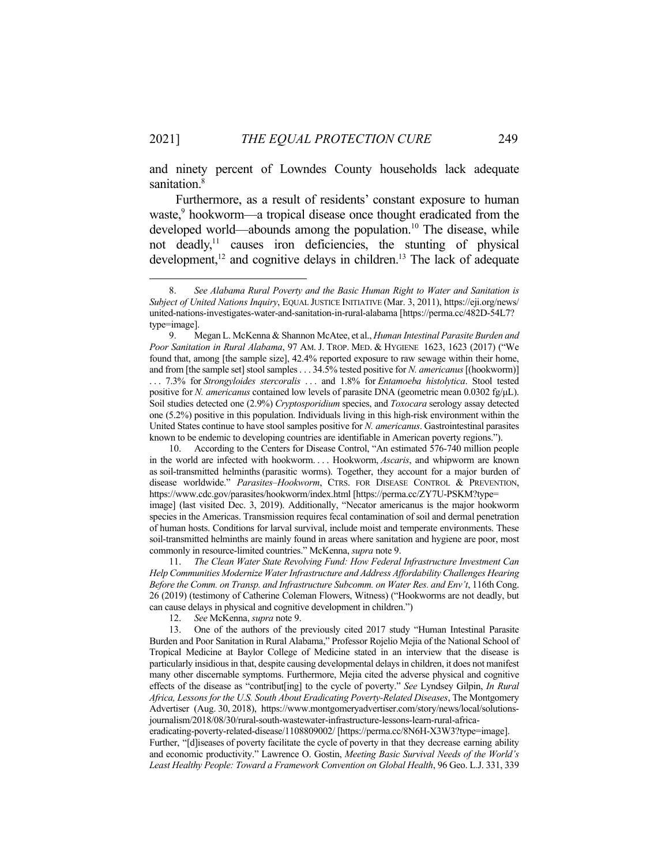and ninety percent of Lowndes County households lack adequate sanitation.<sup>8</sup>

 Furthermore, as a result of residents' constant exposure to human waste,<sup>9</sup> hookworm—a tropical disease once thought eradicated from the developed world—abounds among the population.<sup>10</sup> The disease, while not deadly,11 causes iron deficiencies, the stunting of physical development,<sup>12</sup> and cognitive delays in children.<sup>13</sup> The lack of adequate

 10. According to the Centers for Disease Control, "An estimated 576-740 million people in the world are infected with hookworm. . . . Hookworm, *Ascaris*, and whipworm are known as soil-transmitted helminths (parasitic worms). Together, they account for a major burden of disease worldwide." *Parasites–Hookworm*, CTRS. FOR DISEASE CONTROL & PREVENTION, https://www.cdc.gov/parasites/hookworm/index.html [https://perma.cc/ZY7U-PSKM?type= image] (last visited Dec. 3, 2019). Additionally, "Necator americanus is the major hookworm species in the Americas. Transmission requires fecal contamination of soil and dermal penetration of human hosts. Conditions for larval survival, include moist and temperate environments. These soil-transmitted helminths are mainly found in areas where sanitation and hygiene are poor, most commonly in resource-limited countries." McKenna, *supra* note 9.

 11. *The Clean Water State Revolving Fund: How Federal Infrastructure Investment Can Help Communities Modernize Water Infrastructure and Address Affordability Challenges Hearing Before the Comm. on Transp. and Infrastructure Subcomm. on Water Res. and Env't*, 116th Cong. 26 (2019) (testimony of Catherine Coleman Flowers, Witness) ("Hookworms are not deadly, but can cause delays in physical and cognitive development in children.")

12. *See* McKenna, *supra* note 9.

 13. One of the authors of the previously cited 2017 study "Human Intestinal Parasite Burden and Poor Sanitation in Rural Alabama," Professor Rojelio Mejia of the National School of Tropical Medicine at Baylor College of Medicine stated in an interview that the disease is particularly insidious in that, despite causing developmental delays in children, it does not manifest many other discernable symptoms. Furthermore, Mejia cited the adverse physical and cognitive effects of the disease as "contribut[ing] to the cycle of poverty." *See* Lyndsey Gilpin, *In Rural Africa, Lessons for the U.S. South About Eradicating Poverty-Related Diseases*, The Montgomery Advertiser (Aug. 30, 2018), https://www.montgomeryadvertiser.com/story/news/local/solutionsjournalism/2018/08/30/rural-south-wastewater-infrastructure-lessons-learn-rural-africa-

eradicating-poverty-related-disease/1108809002/ [https://perma.cc/8N6H-X3W3?type=image]. Further, "[d]iseases of poverty facilitate the cycle of poverty in that they decrease earning ability and economic productivity." Lawrence O. Gostin, *Meeting Basic Survival Needs of the World's Least Healthy People: Toward a Framework Convention on Global Health*, 96 Geo. L.J. 331, 339

 <sup>8.</sup> *See Alabama Rural Poverty and the Basic Human Right to Water and Sanitation is Subject of United Nations Inquiry*, EQUAL JUSTICE INITIATIVE (Mar. 3, 2011), https://eji.org/news/ united-nations-investigates-water-and-sanitation-in-rural-alabama [https://perma.cc/482D-54L7? type=image].

 <sup>9.</sup> Megan L. McKenna & Shannon McAtee, et al., *Human Intestinal Parasite Burden and Poor Sanitation in Rural Alabama*, 97 AM. J. TROP. MED. & HYGIENE 1623, 1623 (2017) ("We found that, among [the sample size], 42.4% reported exposure to raw sewage within their home, and from [the sample set] stool samples . . . 34.5% tested positive for *N. americanus* [(hookworm)] . . . 7.3% for *Strongyloides stercoralis* . . . and 1.8% for *Entamoeba histolytica*. Stool tested positive for *N. americanus* contained low levels of parasite DNA (geometric mean 0.0302 fg/μL). Soil studies detected one (2.9%) *Cryptosporidium* species, and *Toxocara* serology assay detected one (5.2%) positive in this population. Individuals living in this high-risk environment within the United States continue to have stool samples positive for *N. americanus*. Gastrointestinal parasites known to be endemic to developing countries are identifiable in American poverty regions.").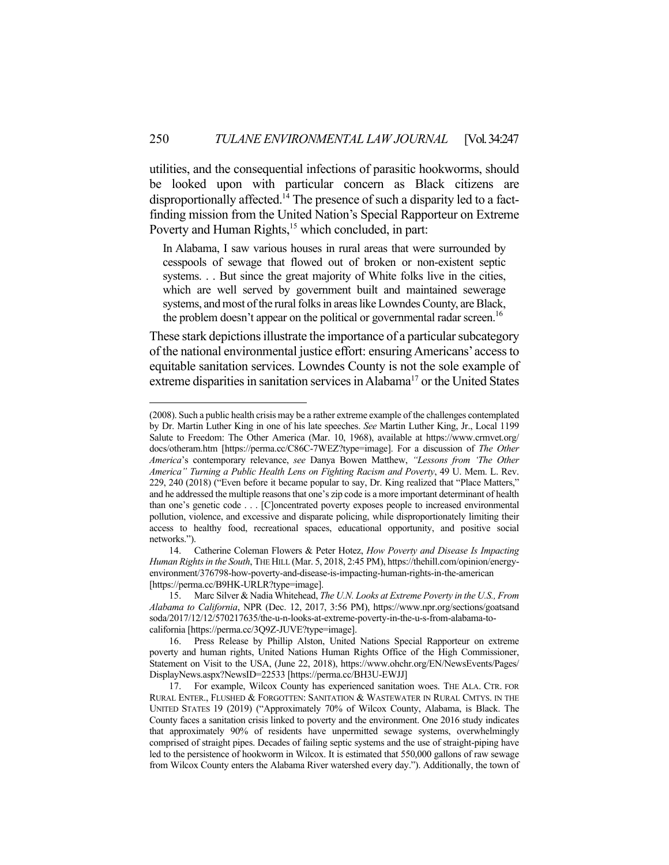utilities, and the consequential infections of parasitic hookworms, should be looked upon with particular concern as Black citizens are disproportionally affected.<sup>14</sup> The presence of such a disparity led to a factfinding mission from the United Nation's Special Rapporteur on Extreme Poverty and Human Rights,<sup>15</sup> which concluded, in part:

In Alabama, I saw various houses in rural areas that were surrounded by cesspools of sewage that flowed out of broken or non-existent septic systems. . . But since the great majority of White folks live in the cities, which are well served by government built and maintained sewerage systems, and most of the rural folks in areas like Lowndes County, are Black, the problem doesn't appear on the political or governmental radar screen.<sup>16</sup>

These stark depictions illustrate the importance of a particular subcategory of the national environmental justice effort: ensuring Americans' access to equitable sanitation services. Lowndes County is not the sole example of extreme disparities in sanitation services in Alabama<sup>17</sup> or the United States

<sup>(2008).</sup> Such a public health crisis may be a rather extreme example of the challenges contemplated by Dr. Martin Luther King in one of his late speeches. *See* Martin Luther King, Jr., Local 1199 Salute to Freedom: The Other America (Mar. 10, 1968), available at https://www.crmvet.org/ docs/otheram.htm [https://perma.cc/C86C-7WEZ?type=image]. For a discussion of *The Other America*'s contemporary relevance, *see* Danya Bowen Matthew, *"Lessons from 'The Other America" Turning a Public Health Lens on Fighting Racism and Poverty*, 49 U. Mem. L. Rev. 229, 240 (2018) ("Even before it became popular to say, Dr. King realized that "Place Matters," and he addressed the multiple reasons that one's zip code is a more important determinant of health than one's genetic code . . . [C]oncentrated poverty exposes people to increased environmental pollution, violence, and excessive and disparate policing, while disproportionately limiting their access to healthy food, recreational spaces, educational opportunity, and positive social networks.").

 <sup>14.</sup> Catherine Coleman Flowers & Peter Hotez, *How Poverty and Disease Is Impacting Human Rights in the South*, THE HILL (Mar. 5, 2018, 2:45 PM), https://thehill.com/opinion/energyenvironment/376798-how-poverty-and-disease-is-impacting-human-rights-in-the-american [https://perma.cc/B9HK-URLR?type=image].

 <sup>15.</sup> Marc Silver & Nadia Whitehead, *The U.N. Looks at Extreme Poverty in the U.S., From Alabama to California*, NPR (Dec. 12, 2017, 3:56 PM), https://www.npr.org/sections/goatsand soda/2017/12/12/570217635/the-u-n-looks-at-extreme-poverty-in-the-u-s-from-alabama-tocalifornia [https://perma.cc/3Q9Z-JUVE?type=image].

 <sup>16.</sup> Press Release by Phillip Alston, United Nations Special Rapporteur on extreme poverty and human rights, United Nations Human Rights Office of the High Commissioner, Statement on Visit to the USA, (June 22, 2018), https://www.ohchr.org/EN/NewsEvents/Pages/ DisplayNews.aspx?NewsID=22533 [https://perma.cc/BH3U-EWJJ]

 <sup>17.</sup> For example, Wilcox County has experienced sanitation woes. THE ALA. CTR. FOR RURAL ENTER., FLUSHED & FORGOTTEN: SANITATION & WASTEWATER IN RURAL CMTYS. IN THE UNITED STATES 19 (2019) ("Approximately 70% of Wilcox County, Alabama, is Black. The County faces a sanitation crisis linked to poverty and the environment. One 2016 study indicates that approximately 90% of residents have unpermitted sewage systems, overwhelmingly comprised of straight pipes. Decades of failing septic systems and the use of straight-piping have led to the persistence of hookworm in Wilcox. It is estimated that 550,000 gallons of raw sewage from Wilcox County enters the Alabama River watershed every day."). Additionally, the town of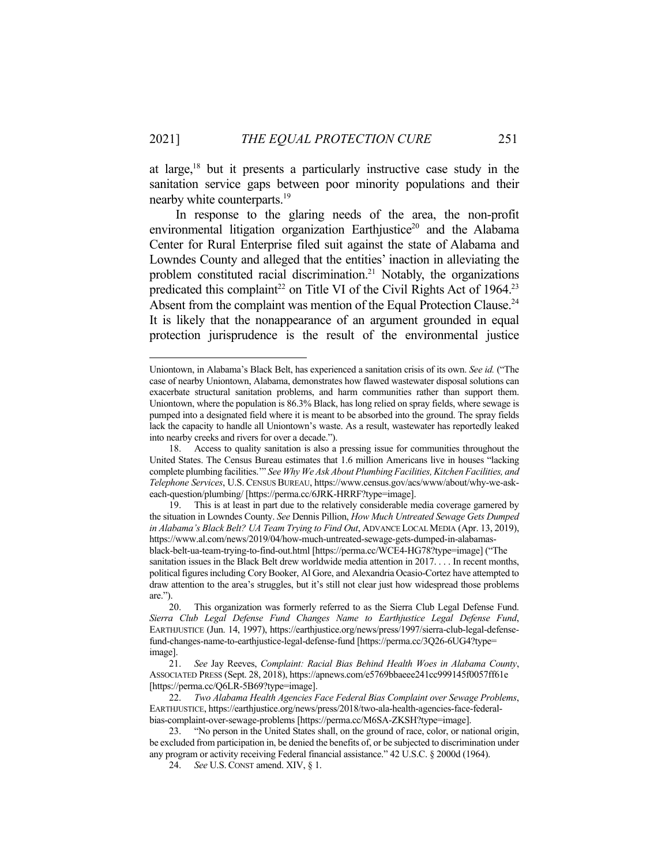at large, $18$  but it presents a particularly instructive case study in the sanitation service gaps between poor minority populations and their nearby white counterparts.<sup>19</sup>

 In response to the glaring needs of the area, the non-profit environmental litigation organization Earthjustice<sup>20</sup> and the Alabama Center for Rural Enterprise filed suit against the state of Alabama and Lowndes County and alleged that the entities' inaction in alleviating the problem constituted racial discrimination.<sup>21</sup> Notably, the organizations predicated this complaint<sup>22</sup> on Title VI of the Civil Rights Act of 1964.<sup>23</sup> Absent from the complaint was mention of the Equal Protection Clause.<sup>24</sup> It is likely that the nonappearance of an argument grounded in equal protection jurisprudence is the result of the environmental justice

Uniontown, in Alabama's Black Belt, has experienced a sanitation crisis of its own. *See id.* ("The case of nearby Uniontown, Alabama, demonstrates how flawed wastewater disposal solutions can exacerbate structural sanitation problems, and harm communities rather than support them. Uniontown, where the population is 86.3% Black, has long relied on spray fields, where sewage is pumped into a designated field where it is meant to be absorbed into the ground. The spray fields lack the capacity to handle all Uniontown's waste. As a result, wastewater has reportedly leaked into nearby creeks and rivers for over a decade.").

 <sup>18.</sup> Access to quality sanitation is also a pressing issue for communities throughout the United States. The Census Bureau estimates that 1.6 million Americans live in houses "lacking complete plumbing facilities.'" *See Why We Ask About Plumbing Facilities, Kitchen Facilities, and Telephone Services*, U.S. CENSUS BUREAU, https://www.census.gov/acs/www/about/why-we-askeach-question/plumbing/ [https://perma.cc/6JRK-HRRF?type=image].

 <sup>19.</sup> This is at least in part due to the relatively considerable media coverage garnered by the situation in Lowndes County. *See* Dennis Pillion, *How Much Untreated Sewage Gets Dumped in Alabama's Black Belt? UA Team Trying to Find Out*, ADVANCE LOCAL MEDIA (Apr. 13, 2019), https://www.al.com/news/2019/04/how-much-untreated-sewage-gets-dumped-in-alabamasblack-belt-ua-team-trying-to-find-out.html [https://perma.cc/WCE4-HG78?type=image] ("The sanitation issues in the Black Belt drew worldwide media attention in 2017. . . . In recent months, political figures including Cory Booker, Al Gore, and Alexandria Ocasio-Cortez have attempted to draw attention to the area's struggles, but it's still not clear just how widespread those problems are.").

 <sup>20.</sup> This organization was formerly referred to as the Sierra Club Legal Defense Fund. *Sierra Club Legal Defense Fund Changes Name to Earthjustice Legal Defense Fund*, EARTHJUSTICE (Jun. 14, 1997), https://earthjustice.org/news/press/1997/sierra-club-legal-defensefund-changes-name-to-earthjustice-legal-defense-fund [https://perma.cc/3Q26-6UG4?type= image].

 <sup>21.</sup> *See* Jay Reeves, *Complaint: Racial Bias Behind Health Woes in Alabama County*, ASSOCIATED PRESS (Sept. 28, 2018), https://apnews.com/e5769bbaeee241cc999145f0057ff61e [https://perma.cc/Q6LR-5B69?type=image].

 <sup>22.</sup> *Two Alabama Health Agencies Face Federal Bias Complaint over Sewage Problems*, EARTHJUSTICE, https://earthjustice.org/news/press/2018/two-ala-health-agencies-face-federalbias-complaint-over-sewage-problems [https://perma.cc/M6SA-ZKSH?type=image].

 <sup>23. &</sup>quot;No person in the United States shall, on the ground of race, color, or national origin, be excluded from participation in, be denied the benefits of, or be subjected to discrimination under any program or activity receiving Federal financial assistance." 42 U.S.C. § 2000d (1964).

 <sup>24.</sup> *See* U.S. CONST amend. XIV, § 1.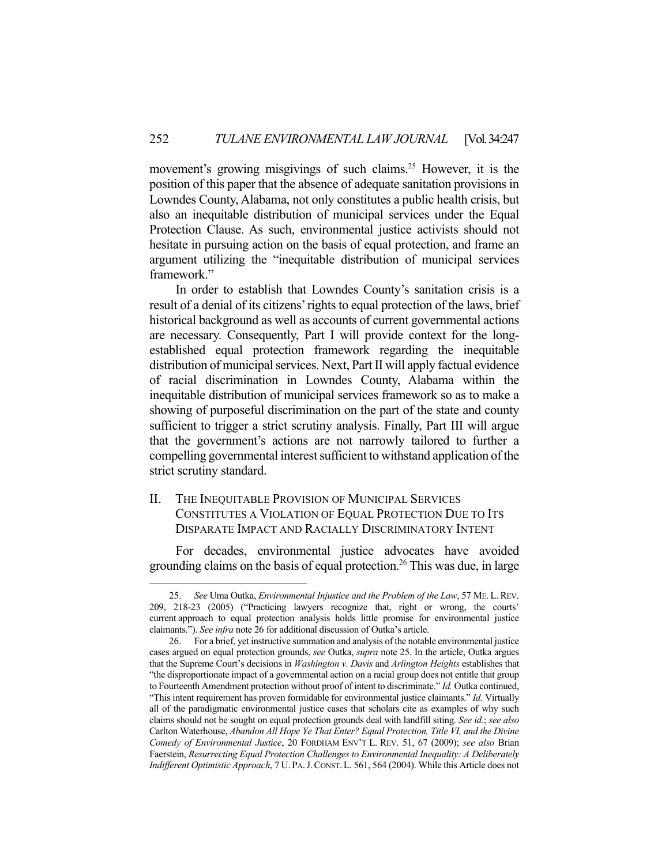movement's growing misgivings of such claims.<sup>25</sup> However, it is the position of this paper that the absence of adequate sanitation provisions in Lowndes County, Alabama, not only constitutes a public health crisis, but also an inequitable distribution of municipal services under the Equal Protection Clause. As such, environmental justice activists should not hesitate in pursuing action on the basis of equal protection, and frame an argument utilizing the "inequitable distribution of municipal services framework."

 In order to establish that Lowndes County's sanitation crisis is a result of a denial of its citizens' rights to equal protection of the laws, brief historical background as well as accounts of current governmental actions are necessary. Consequently, Part I will provide context for the longestablished equal protection framework regarding the inequitable distribution of municipal services. Next, Part II will apply factual evidence of racial discrimination in Lowndes County, Alabama within the inequitable distribution of municipal services framework so as to make a showing of purposeful discrimination on the part of the state and county sufficient to trigger a strict scrutiny analysis. Finally, Part III will argue that the government's actions are not narrowly tailored to further a compelling governmental interest sufficient to withstand application of the strict scrutiny standard.

# II. THE INEQUITABLE PROVISION OF MUNICIPAL SERVICES CONSTITUTES A VIOLATION OF EQUAL PROTECTION DUE TO ITS DISPARATE IMPACT AND RACIALLY DISCRIMINATORY INTENT

 For decades, environmental justice advocates have avoided grounding claims on the basis of equal protection.26 This was due, in large

 <sup>25.</sup> *See* Uma Outka, *Environmental Injustice and the Problem of the Law*, 57 ME. L.REV. 209, 218-23 (2005) ("Practicing lawyers recognize that, right or wrong, the courts' current approach to equal protection analysis holds little promise for environmental justice claimants."). *See infra* note 26 for additional discussion of Outka's article.

 <sup>26.</sup> For a brief, yet instructive summation and analysis of the notable environmental justice cases argued on equal protection grounds, *see* Outka, *supra* note 25. In the article, Outka argues that the Supreme Court's decisions in *Washington v. Davis* and *Arlington Heights* establishes that "the disproportionate impact of a governmental action on a racial group does not entitle that group to Fourteenth Amendment protection without proof of intent to discriminate." *Id.* Outka continued, "This intent requirement has proven formidable for environmental justice claimants." *Id.* Virtually all of the paradigmatic environmental justice cases that scholars cite as examples of why such claims should not be sought on equal protection grounds deal with landfill siting. *See id.*; *see also* Carlton Waterhouse, *Abandon All Hope Ye That Enter? Equal Protection, Title VI, and the Divine Comedy of Environmental Justice*, 20 FORDHAM ENV'T L. REV. 51, 67 (2009); *see also* Brian Faerstein, *Resurrecting Equal Protection Challenges to Environmental Inequality: A Deliberately Indifferent Optimistic Approach*, 7 U. PA.J.CONST.L. 561, 564 (2004). While this Article does not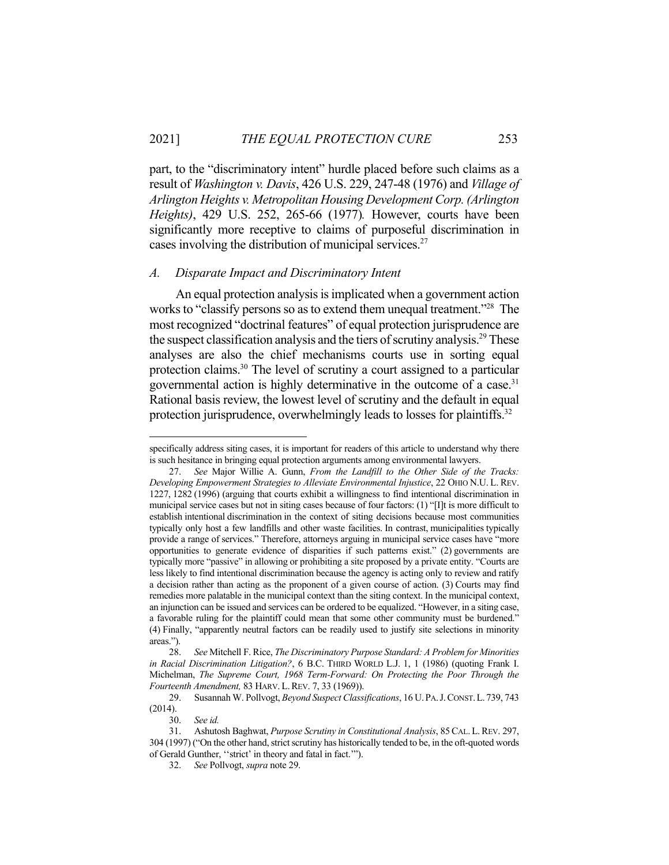part, to the "discriminatory intent" hurdle placed before such claims as a result of *Washington v. Davis*, 426 U.S. 229, 247-48 (1976) and *Village of Arlington Heights v. Metropolitan Housing Development Corp. (Arlington Heights)*, 429 U.S. 252, 265-66 (1977)*.* However, courts have been significantly more receptive to claims of purposeful discrimination in cases involving the distribution of municipal services. $27$ 

## *A. Disparate Impact and Discriminatory Intent*

 An equal protection analysis is implicated when a government action works to "classify persons so as to extend them unequal treatment."<sup>28</sup> The most recognized "doctrinal features" of equal protection jurisprudence are the suspect classification analysis and the tiers of scrutiny analysis.<sup>29</sup> These analyses are also the chief mechanisms courts use in sorting equal protection claims.30 The level of scrutiny a court assigned to a particular governmental action is highly determinative in the outcome of a case.<sup>31</sup> Rational basis review, the lowest level of scrutiny and the default in equal protection jurisprudence, overwhelmingly leads to losses for plaintiffs.<sup>32</sup>

specifically address siting cases, it is important for readers of this article to understand why there is such hesitance in bringing equal protection arguments among environmental lawyers.

 <sup>27.</sup> *See* Major Willie A. Gunn, *From the Landfill to the Other Side of the Tracks: Developing Empowerment Strategies to Alleviate Environmental Injustice*, 22 OHIO N.U. L. REV. 1227, 1282 (1996) (arguing that courts exhibit a willingness to find intentional discrimination in municipal service cases but not in siting cases because of four factors: (1) "[I]t is more difficult to establish intentional discrimination in the context of siting decisions because most communities typically only host a few landfills and other waste facilities. In contrast, municipalities typically provide a range of services." Therefore, attorneys arguing in municipal service cases have "more opportunities to generate evidence of disparities if such patterns exist." (2) governments are typically more "passive" in allowing or prohibiting a site proposed by a private entity. "Courts are less likely to find intentional discrimination because the agency is acting only to review and ratify a decision rather than acting as the proponent of a given course of action. (3) Courts may find remedies more palatable in the municipal context than the siting context. In the municipal context, an injunction can be issued and services can be ordered to be equalized. "However, in a siting case, a favorable ruling for the plaintiff could mean that some other community must be burdened." (4) Finally, "apparently neutral factors can be readily used to justify site selections in minority areas.").

 <sup>28.</sup> *See* Mitchell F. Rice, *The Discriminatory Purpose Standard: A Problem for Minorities in Racial Discrimination Litigation?*, 6 B.C. THIRD WORLD L.J. 1, 1 (1986) (quoting Frank I. Michelman, *The Supreme Court, 1968 Term-Forward: On Protecting the Poor Through the Fourteenth Amendment,* 83 HARV. L.REV. 7, 33 (1969)).

 <sup>29.</sup> Susannah W. Pollvogt, *Beyond Suspect Classifications*, 16 U.PA.J.CONST.L. 739, 743 (2014).

 <sup>30.</sup> *See id.* 

 <sup>31.</sup> Ashutosh Baghwat, *Purpose Scrutiny in Constitutional Analysis*, 85CAL.L.REV. 297, 304 (1997) ("On the other hand, strict scrutiny has historically tended to be, in the oft-quoted words of Gerald Gunther, ''strict' in theory and fatal in fact.'").

 <sup>32.</sup> *See* Pollvogt, *supra* note 29.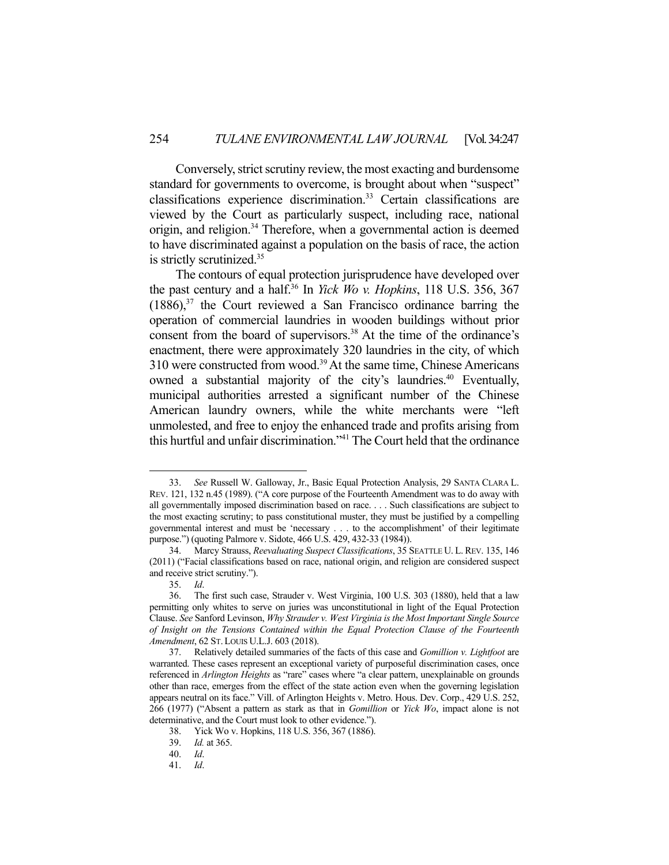Conversely, strict scrutiny review, the most exacting and burdensome standard for governments to overcome, is brought about when "suspect" classifications experience discrimination.<sup>33</sup> Certain classifications are viewed by the Court as particularly suspect, including race, national origin, and religion.34 Therefore, when a governmental action is deemed to have discriminated against a population on the basis of race, the action is strictly scrutinized.35

 The contours of equal protection jurisprudence have developed over the past century and a half.36 In *Yick Wo v. Hopkins*, 118 U.S. 356, 367  $(1886)$ ,<sup>37</sup> the Court reviewed a San Francisco ordinance barring the operation of commercial laundries in wooden buildings without prior consent from the board of supervisors.<sup>38</sup> At the time of the ordinance's enactment, there were approximately 320 laundries in the city, of which 310 were constructed from wood.39 At the same time, Chinese Americans owned a substantial majority of the city's laundries.<sup>40</sup> Eventually, municipal authorities arrested a significant number of the Chinese American laundry owners, while the white merchants were "left unmolested, and free to enjoy the enhanced trade and profits arising from this hurtful and unfair discrimination."<sup>41</sup> The Court held that the ordinance

 <sup>33.</sup> *See* Russell W. Galloway, Jr., Basic Equal Protection Analysis, 29 SANTA CLARA L. REV. 121, 132 n.45 (1989). ("A core purpose of the Fourteenth Amendment was to do away with all governmentally imposed discrimination based on race. . . . Such classifications are subject to the most exacting scrutiny; to pass constitutional muster, they must be justified by a compelling governmental interest and must be 'necessary . . . to the accomplishment' of their legitimate purpose.") (quoting Palmore v. Sidote, 466 U.S. 429, 432-33 (1984)).

 <sup>34.</sup> Marcy Strauss, *Reevaluating Suspect Classifications*, 35 SEATTLE U. L.REV. 135, 146 (2011) ("Facial classifications based on race, national origin, and religion are considered suspect and receive strict scrutiny.").

 <sup>35.</sup> *Id*.

 <sup>36.</sup> The first such case, Strauder v. West Virginia, 100 U.S. 303 (1880), held that a law permitting only whites to serve on juries was unconstitutional in light of the Equal Protection Clause. *See* Sanford Levinson, *Why Strauder v. West Virginia is the Most Important Single Source of Insight on the Tensions Contained within the Equal Protection Clause of the Fourteenth Amendment*, 62 ST. LOUIS U.L.J. 603 (2018).

 <sup>37.</sup> Relatively detailed summaries of the facts of this case and *Gomillion v. Lightfoot* are warranted. These cases represent an exceptional variety of purposeful discrimination cases, once referenced in *Arlington Heights* as "rare" cases where "a clear pattern, unexplainable on grounds other than race, emerges from the effect of the state action even when the governing legislation appears neutral on its face." Vill. of Arlington Heights v. Metro. Hous. Dev. Corp., 429 U.S. 252, 266 (1977) ("Absent a pattern as stark as that in *Gomillion* or *Yick Wo*, impact alone is not determinative, and the Court must look to other evidence.").

 <sup>38.</sup> Yick Wo v. Hopkins, 118 U.S. 356, 367 (1886).

 <sup>39.</sup> *Id.* at 365.

 <sup>40.</sup> *Id*.

 <sup>41.</sup> *Id*.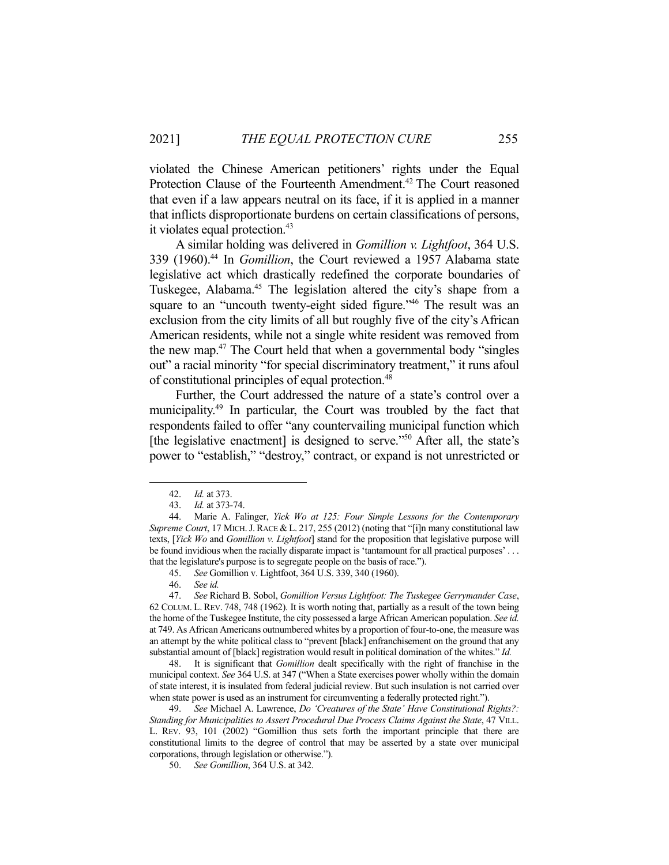violated the Chinese American petitioners' rights under the Equal Protection Clause of the Fourteenth Amendment.<sup>42</sup> The Court reasoned that even if a law appears neutral on its face, if it is applied in a manner that inflicts disproportionate burdens on certain classifications of persons, it violates equal protection.<sup>43</sup>

 A similar holding was delivered in *Gomillion v. Lightfoot*, 364 U.S. 339 (1960).44 In *Gomillion*, the Court reviewed a 1957 Alabama state legislative act which drastically redefined the corporate boundaries of Tuskegee, Alabama.<sup>45</sup> The legislation altered the city's shape from a square to an "uncouth twenty-eight sided figure."<sup>46</sup> The result was an exclusion from the city limits of all but roughly five of the city's African American residents, while not a single white resident was removed from the new map.47 The Court held that when a governmental body "singles out" a racial minority "for special discriminatory treatment," it runs afoul of constitutional principles of equal protection.<sup>48</sup>

 Further, the Court addressed the nature of a state's control over a municipality.49 In particular, the Court was troubled by the fact that respondents failed to offer "any countervailing municipal function which [the legislative enactment] is designed to serve."<sup>50</sup> After all, the state's power to "establish," "destroy," contract, or expand is not unrestricted or

 <sup>42.</sup> *Id.* at 373.

 <sup>43.</sup> *Id.* at 373-74.

 <sup>44.</sup> Marie A. Falinger, *Yick Wo at 125: Four Simple Lessons for the Contemporary Supreme Court*, 17 MICH.J. RACE & L. 217, 255 (2012) (noting that "[i]n many constitutional law texts, [*Yick Wo* and *Gomillion v. Lightfoot*] stand for the proposition that legislative purpose will be found invidious when the racially disparate impact is 'tantamount for all practical purposes' . . . that the legislature's purpose is to segregate people on the basis of race.").

 <sup>45.</sup> *See* Gomillion v. Lightfoot, 364 U.S. 339, 340 (1960).

 <sup>46.</sup> *See id.*

 <sup>47.</sup> *See* Richard B. Sobol, *Gomillion Versus Lightfoot: The Tuskegee Gerrymander Case*, 62 COLUM. L. REV. 748, 748 (1962). It is worth noting that, partially as a result of the town being the home of the Tuskegee Institute, the city possessed a large African American population. *See id.* at 749. As African Americans outnumbered whites by a proportion of four-to-one, the measure was an attempt by the white political class to "prevent [black] enfranchisement on the ground that any substantial amount of [black] registration would result in political domination of the whites." *Id.*

 <sup>48.</sup> It is significant that *Gomillion* dealt specifically with the right of franchise in the municipal context. *See* 364 U.S. at 347 ("When a State exercises power wholly within the domain of state interest, it is insulated from federal judicial review. But such insulation is not carried over when state power is used as an instrument for circumventing a federally protected right.").

 <sup>49.</sup> *See* Michael A. Lawrence, *Do 'Creatures of the State' Have Constitutional Rights?: Standing for Municipalities to Assert Procedural Due Process Claims Against the State*, 47 VILL. L. REV. 93, 101 (2002) "Gomillion thus sets forth the important principle that there are constitutional limits to the degree of control that may be asserted by a state over municipal corporations, through legislation or otherwise.").

 <sup>50.</sup> *See Gomillion*, 364 U.S. at 342.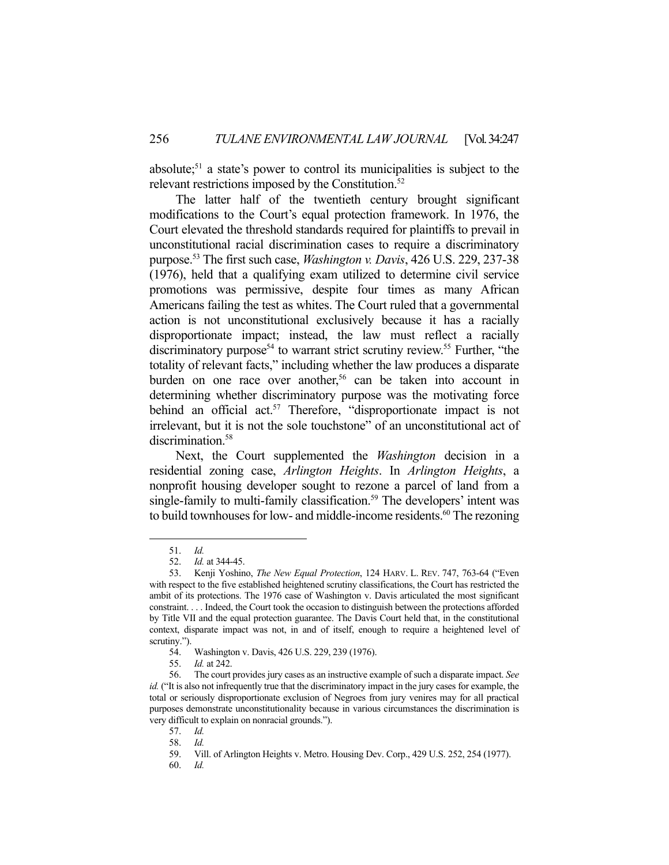absolute;<sup>51</sup> a state's power to control its municipalities is subject to the relevant restrictions imposed by the Constitution.<sup>52</sup>

 The latter half of the twentieth century brought significant modifications to the Court's equal protection framework. In 1976, the Court elevated the threshold standards required for plaintiffs to prevail in unconstitutional racial discrimination cases to require a discriminatory purpose.53 The first such case, *Washington v. Davis*, 426 U.S. 229, 237-38 (1976), held that a qualifying exam utilized to determine civil service promotions was permissive, despite four times as many African Americans failing the test as whites. The Court ruled that a governmental action is not unconstitutional exclusively because it has a racially disproportionate impact; instead, the law must reflect a racially discriminatory purpose<sup>54</sup> to warrant strict scrutiny review.<sup>55</sup> Further, "the totality of relevant facts," including whether the law produces a disparate burden on one race over another,<sup>56</sup> can be taken into account in determining whether discriminatory purpose was the motivating force behind an official act.<sup>57</sup> Therefore, "disproportionate impact is not irrelevant, but it is not the sole touchstone" of an unconstitutional act of discrimination.<sup>58</sup>

 Next, the Court supplemented the *Washington* decision in a residential zoning case, *Arlington Heights*. In *Arlington Heights*, a nonprofit housing developer sought to rezone a parcel of land from a single-family to multi-family classification.<sup>59</sup> The developers' intent was to build townhouses for low- and middle-income residents.<sup>60</sup> The rezoning

 <sup>51.</sup> *Id.* 

 <sup>52.</sup> *Id.* at 344-45.

 <sup>53.</sup> Kenji Yoshino, *The New Equal Protection*, 124 HARV. L. REV. 747, 763-64 ("Even with respect to the five established heightened scrutiny classifications, the Court has restricted the ambit of its protections. The 1976 case of Washington v. Davis articulated the most significant constraint. . . . Indeed, the Court took the occasion to distinguish between the protections afforded by Title VII and the equal protection guarantee. The Davis Court held that, in the constitutional context, disparate impact was not, in and of itself, enough to require a heightened level of scrutiny.").

 <sup>54.</sup> Washington v. Davis, 426 U.S. 229, 239 (1976).

 <sup>55.</sup> *Id.* at 242.

 <sup>56.</sup> The court provides jury cases as an instructive example of such a disparate impact. *See id.* ("It is also not infrequently true that the discriminatory impact in the jury cases for example, the total or seriously disproportionate exclusion of Negroes from jury venires may for all practical purposes demonstrate unconstitutionality because in various circumstances the discrimination is very difficult to explain on nonracial grounds.").

 <sup>57.</sup> *Id.*

 <sup>58.</sup> *Id.*

 <sup>59.</sup> Vill. of Arlington Heights v. Metro. Housing Dev. Corp., 429 U.S. 252, 254 (1977).

 <sup>60.</sup> *Id.*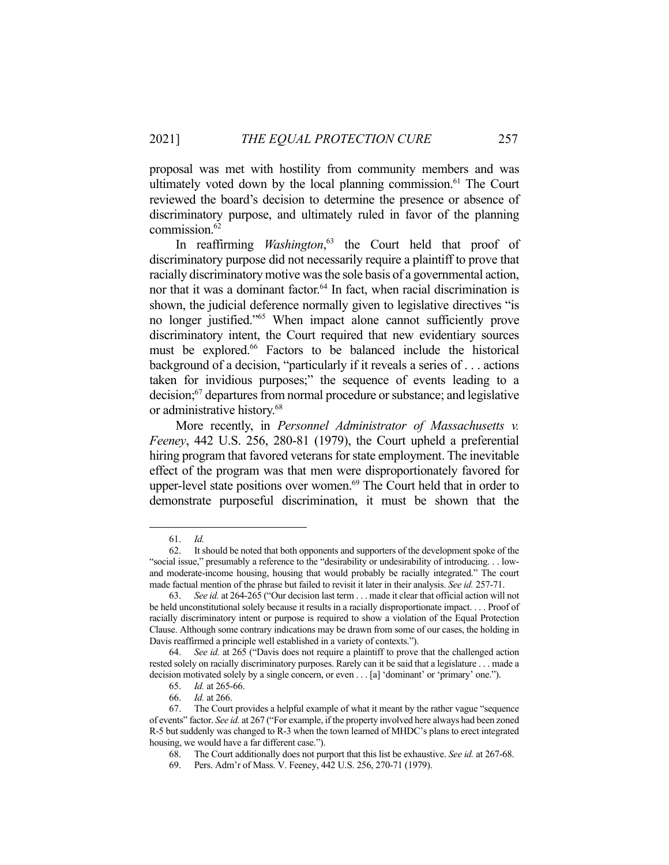proposal was met with hostility from community members and was ultimately voted down by the local planning commission.<sup>61</sup> The Court reviewed the board's decision to determine the presence or absence of discriminatory purpose, and ultimately ruled in favor of the planning commission.62

 In reaffirming *Washington*, 63 the Court held that proof of discriminatory purpose did not necessarily require a plaintiff to prove that racially discriminatory motive was the sole basis of a governmental action, nor that it was a dominant factor.<sup>64</sup> In fact, when racial discrimination is shown, the judicial deference normally given to legislative directives "is no longer justified."65 When impact alone cannot sufficiently prove discriminatory intent, the Court required that new evidentiary sources must be explored.66 Factors to be balanced include the historical background of a decision, "particularly if it reveals a series of . . . actions taken for invidious purposes;" the sequence of events leading to a decision;<sup>67</sup> departures from normal procedure or substance; and legislative or administrative history.68

 More recently, in *Personnel Administrator of Massachusetts v. Feeney*, 442 U.S. 256, 280-81 (1979), the Court upheld a preferential hiring program that favored veterans for state employment. The inevitable effect of the program was that men were disproportionately favored for upper-level state positions over women. $69$  The Court held that in order to demonstrate purposeful discrimination, it must be shown that the

 <sup>61.</sup> *Id.*

 <sup>62.</sup> It should be noted that both opponents and supporters of the development spoke of the "social issue," presumably a reference to the "desirability or undesirability of introducing. . . lowand moderate-income housing, housing that would probably be racially integrated." The court made factual mention of the phrase but failed to revisit it later in their analysis. *See id.* 257-71.

 <sup>63.</sup> *See id.* at 264-265 ("Our decision last term . . . made it clear that official action will not be held unconstitutional solely because it results in a racially disproportionate impact. . . . Proof of racially discriminatory intent or purpose is required to show a violation of the Equal Protection Clause. Although some contrary indications may be drawn from some of our cases, the holding in Davis reaffirmed a principle well established in a variety of contexts.").

 <sup>64.</sup> *See id.* at 265 ("Davis does not require a plaintiff to prove that the challenged action rested solely on racially discriminatory purposes. Rarely can it be said that a legislature . . . made a decision motivated solely by a single concern, or even . . . [a] 'dominant' or 'primary' one.").

 <sup>65.</sup> *Id.* at 265-66.

 <sup>66.</sup> *Id.* at 266.

 <sup>67.</sup> The Court provides a helpful example of what it meant by the rather vague "sequence of events" factor. *See id.* at 267 ("For example, if the property involved here always had been zoned R-5 but suddenly was changed to R-3 when the town learned of MHDC's plans to erect integrated housing, we would have a far different case.").

 <sup>68.</sup> The Court additionally does not purport that this list be exhaustive. *See id.* at 267-68.

 <sup>69.</sup> Pers. Adm'r of Mass. V. Feeney, 442 U.S. 256, 270-71 (1979).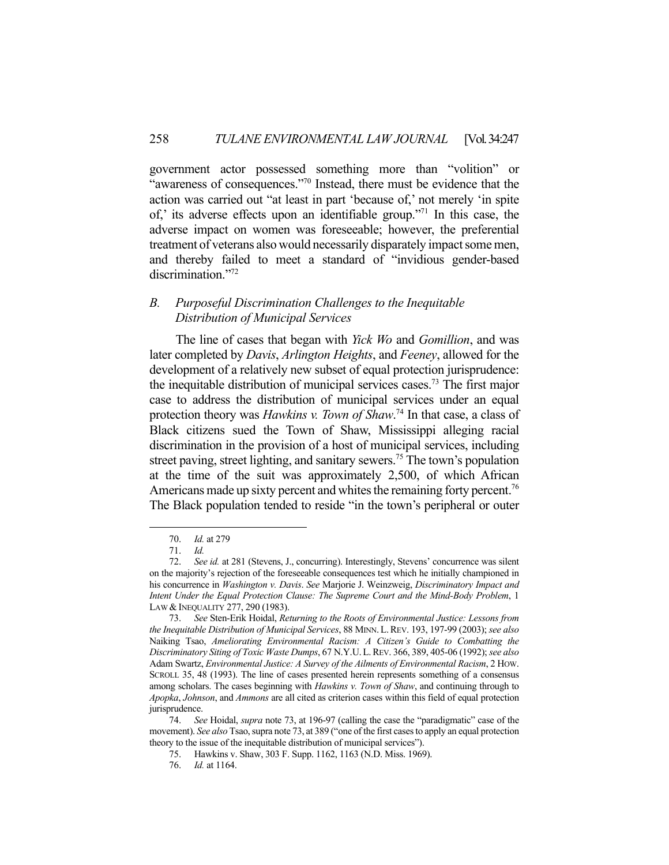government actor possessed something more than "volition" or "awareness of consequences."70 Instead, there must be evidence that the action was carried out "at least in part 'because of,' not merely 'in spite of,' its adverse effects upon an identifiable group."71 In this case, the adverse impact on women was foreseeable; however, the preferential treatment of veterans also would necessarily disparately impact some men, and thereby failed to meet a standard of "invidious gender-based discrimination."72

## *B. Purposeful Discrimination Challenges to the Inequitable Distribution of Municipal Services*

 The line of cases that began with *Yick Wo* and *Gomillion*, and was later completed by *Davis*, *Arlington Heights*, and *Feeney*, allowed for the development of a relatively new subset of equal protection jurisprudence: the inequitable distribution of municipal services cases.73 The first major case to address the distribution of municipal services under an equal protection theory was *Hawkins v. Town of Shaw*. 74 In that case, a class of Black citizens sued the Town of Shaw, Mississippi alleging racial discrimination in the provision of a host of municipal services, including street paving, street lighting, and sanitary sewers.<sup>75</sup> The town's population at the time of the suit was approximately 2,500, of which African Americans made up sixty percent and whites the remaining forty percent.<sup>76</sup> The Black population tended to reside "in the town's peripheral or outer

 <sup>70.</sup> *Id.* at 279

 <sup>71.</sup> *Id.*

 <sup>72.</sup> *See id.* at 281 (Stevens, J., concurring). Interestingly, Stevens' concurrence was silent on the majority's rejection of the foreseeable consequences test which he initially championed in his concurrence in *Washington v. Davis*. *See* Marjorie J. Weinzweig, *Discriminatory Impact and Intent Under the Equal Protection Clause: The Supreme Court and the Mind-Body Problem*, 1 LAW & INEQUALITY 277, 290 (1983).

 <sup>73.</sup> *See* Sten-Erik Hoidal, *Returning to the Roots of Environmental Justice: Lessons from the Inequitable Distribution of Municipal Services*, 88 MINN.L.REV. 193, 197-99 (2003); *see also* Naiking Tsao, *Ameliorating Environmental Racism: A Citizen's Guide to Combatting the Discriminatory Siting of Toxic Waste Dumps*, 67 N.Y.U.L.REV. 366, 389, 405-06 (1992); *see also* Adam Swartz, *Environmental Justice: A Survey of the Ailments of Environmental Racism*, 2 HOW. SCROLL 35, 48 (1993). The line of cases presented herein represents something of a consensus among scholars. The cases beginning with *Hawkins v. Town of Shaw*, and continuing through to *Apopka*, *Johnson*, and *Ammons* are all cited as criterion cases within this field of equal protection jurisprudence.

 <sup>74.</sup> *See* Hoidal, *supra* note 73, at 196-97 (calling the case the "paradigmatic" case of the movement). *See also* Tsao, supra note 73, at 389 ("one of the first cases to apply an equal protection theory to the issue of the inequitable distribution of municipal services").

 <sup>75.</sup> Hawkins v. Shaw, 303 F. Supp. 1162, 1163 (N.D. Miss. 1969).

 <sup>76.</sup> *Id.* at 1164.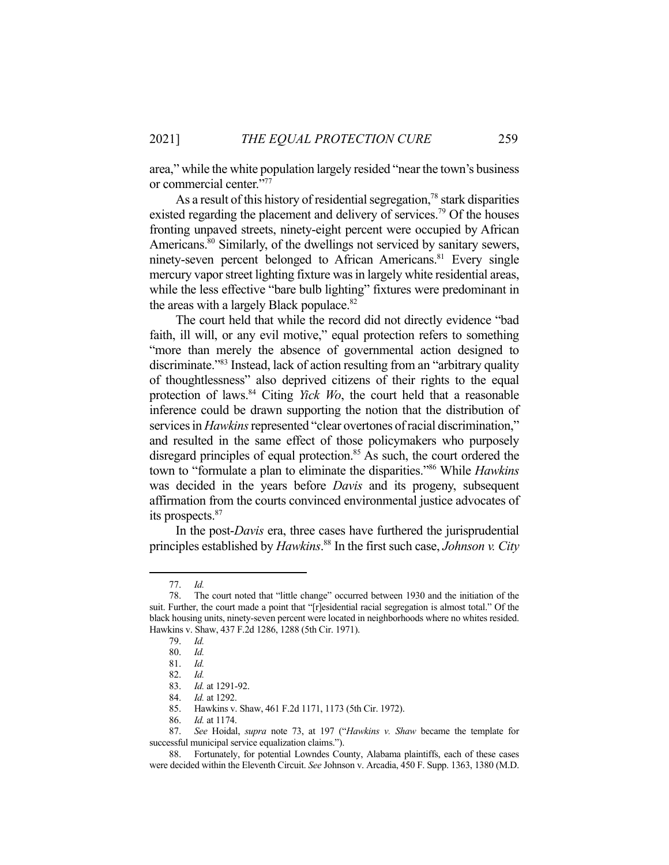area," while the white population largely resided "near the town's business or commercial center."

As a result of this history of residential segregation,<sup>78</sup> stark disparities existed regarding the placement and delivery of services.<sup>79</sup> Of the houses fronting unpaved streets, ninety-eight percent were occupied by African Americans.<sup>80</sup> Similarly, of the dwellings not serviced by sanitary sewers, ninety-seven percent belonged to African Americans.<sup>81</sup> Every single mercury vapor street lighting fixture was in largely white residential areas, while the less effective "bare bulb lighting" fixtures were predominant in the areas with a largely Black populace.<sup>82</sup>

 The court held that while the record did not directly evidence "bad faith, ill will, or any evil motive," equal protection refers to something "more than merely the absence of governmental action designed to discriminate."83 Instead, lack of action resulting from an "arbitrary quality of thoughtlessness" also deprived citizens of their rights to the equal protection of laws.<sup>84</sup> Citing *Yick Wo*, the court held that a reasonable inference could be drawn supporting the notion that the distribution of services in *Hawkins* represented "clear overtones of racial discrimination," and resulted in the same effect of those policymakers who purposely disregard principles of equal protection.<sup>85</sup> As such, the court ordered the town to "formulate a plan to eliminate the disparities."86 While *Hawkins* was decided in the years before *Davis* and its progeny, subsequent affirmation from the courts convinced environmental justice advocates of its prospects.87

 In the post-*Davis* era, three cases have furthered the jurisprudential principles established by *Hawkins*. 88 In the first such case, *Johnson v. City* 

 <sup>77.</sup> *Id.*

 <sup>78.</sup> The court noted that "little change" occurred between 1930 and the initiation of the suit. Further, the court made a point that "[r]esidential racial segregation is almost total." Of the black housing units, ninety-seven percent were located in neighborhoods where no whites resided. Hawkins v. Shaw, 437 F.2d 1286, 1288 (5th Cir. 1971).

 <sup>79.</sup> *Id.*

 <sup>80.</sup> *Id.*

 <sup>81.</sup> *Id.*

 <sup>82.</sup> *Id.* 83. *Id.* at 1291-92.

 <sup>84.</sup> *Id.* at 1292.

Hawkins v. Shaw, 461 F.2d 1171, 1173 (5th Cir. 1972).

 <sup>86.</sup> *Id.* at 1174.

 <sup>87.</sup> *See* Hoidal, *supra* note 73, at 197 ("*Hawkins v. Shaw* became the template for successful municipal service equalization claims.").

 <sup>88.</sup> Fortunately, for potential Lowndes County, Alabama plaintiffs, each of these cases were decided within the Eleventh Circuit. *See* Johnson v. Arcadia, 450 F. Supp. 1363, 1380 (M.D.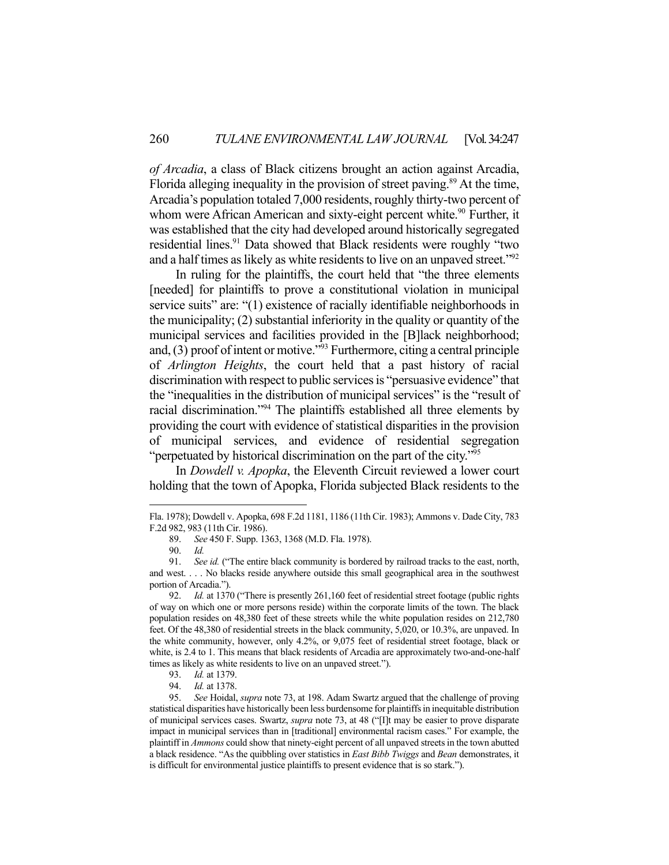*of Arcadia*, a class of Black citizens brought an action against Arcadia, Florida alleging inequality in the provision of street paving.<sup>89</sup> At the time, Arcadia's population totaled 7,000 residents, roughly thirty-two percent of whom were African American and sixty-eight percent white.<sup>90</sup> Further, it was established that the city had developed around historically segregated residential lines.<sup>91</sup> Data showed that Black residents were roughly "two and a half times as likely as white residents to live on an unpaved street."<sup>92</sup>

 In ruling for the plaintiffs, the court held that "the three elements [needed] for plaintiffs to prove a constitutional violation in municipal service suits" are: "(1) existence of racially identifiable neighborhoods in the municipality; (2) substantial inferiority in the quality or quantity of the municipal services and facilities provided in the [B]lack neighborhood; and,  $(3)$  proof of intent or motive."<sup>93</sup> Furthermore, citing a central principle of *Arlington Heights*, the court held that a past history of racial discrimination with respect to public services is "persuasive evidence" that the "inequalities in the distribution of municipal services" is the "result of racial discrimination."94 The plaintiffs established all three elements by providing the court with evidence of statistical disparities in the provision of municipal services, and evidence of residential segregation "perpetuated by historical discrimination on the part of the city."95

 In *Dowdell v. Apopka*, the Eleventh Circuit reviewed a lower court holding that the town of Apopka, Florida subjected Black residents to the

Fla. 1978); Dowdell v. Apopka, 698 F.2d 1181, 1186 (11th Cir. 1983); Ammons v. Dade City, 783 F.2d 982, 983 (11th Cir. 1986).

 <sup>89.</sup> *See* 450 F. Supp. 1363, 1368 (M.D. Fla. 1978).

 <sup>90.</sup> *Id.*

 <sup>91.</sup> *See id.* ("The entire black community is bordered by railroad tracks to the east, north, and west. . . . No blacks reside anywhere outside this small geographical area in the southwest portion of Arcadia.").

 <sup>92.</sup> *Id.* at 1370 ("There is presently 261,160 feet of residential street footage (public rights of way on which one or more persons reside) within the corporate limits of the town. The black population resides on 48,380 feet of these streets while the white population resides on 212,780 feet. Of the 48,380 of residential streets in the black community, 5,020, or 10.3%, are unpaved. In the white community, however, only 4.2%, or 9,075 feet of residential street footage, black or white, is 2.4 to 1. This means that black residents of Arcadia are approximately two-and-one-half times as likely as white residents to live on an unpaved street.").

 <sup>93.</sup> *Id.* at 1379.

 <sup>94.</sup> *Id.* at 1378.

 <sup>95.</sup> *See* Hoidal, *supra* note 73, at 198. Adam Swartz argued that the challenge of proving statistical disparities have historically been less burdensome for plaintiffs in inequitable distribution of municipal services cases. Swartz, *supra* note 73, at 48 ("[I]t may be easier to prove disparate impact in municipal services than in [traditional] environmental racism cases." For example, the plaintiff in *Ammons* could show that ninety-eight percent of all unpaved streets in the town abutted a black residence. "As the quibbling over statistics in *East Bibb Twiggs* and *Bean* demonstrates, it is difficult for environmental justice plaintiffs to present evidence that is so stark.").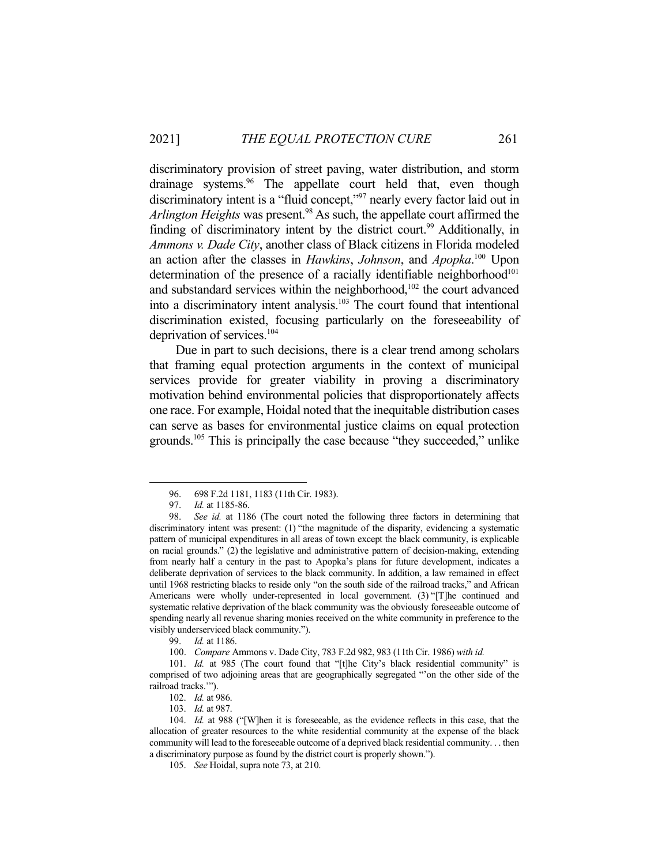discriminatory provision of street paving, water distribution, and storm drainage systems.<sup>96</sup> The appellate court held that, even though discriminatory intent is a "fluid concept,"97 nearly every factor laid out in *Arlington Heights* was present.98 As such, the appellate court affirmed the finding of discriminatory intent by the district court.<sup>99</sup> Additionally, in *Ammons v. Dade City*, another class of Black citizens in Florida modeled an action after the classes in *Hawkins*, *Johnson*, and *Apopka*. 100 Upon determination of the presence of a racially identifiable neighborhood<sup>101</sup> and substandard services within the neighborhood, $102$  the court advanced into a discriminatory intent analysis.<sup>103</sup> The court found that intentional discrimination existed, focusing particularly on the foreseeability of deprivation of services.104

 Due in part to such decisions, there is a clear trend among scholars that framing equal protection arguments in the context of municipal services provide for greater viability in proving a discriminatory motivation behind environmental policies that disproportionately affects one race. For example, Hoidal noted that the inequitable distribution cases can serve as bases for environmental justice claims on equal protection grounds.105 This is principally the case because "they succeeded," unlike

99. *Id.* at 1186.

100. *Compare* Ammons v. Dade City, 783 F.2d 982, 983 (11th Cir. 1986) *with id.*

 101. *Id.* at 985 (The court found that "[t]he City's black residential community" is comprised of two adjoining areas that are geographically segregated "'on the other side of the railroad tracks.'").

102. *Id.* at 986.

103. *Id.* at 987.

 104. *Id.* at 988 ("[W]hen it is foreseeable, as the evidence reflects in this case, that the allocation of greater resources to the white residential community at the expense of the black community will lead to the foreseeable outcome of a deprived black residential community. . . then a discriminatory purpose as found by the district court is properly shown.").

105. *See* Hoidal, supra note 73, at 210.

 <sup>96. 698</sup> F.2d 1181, 1183 (11th Cir. 1983).

 <sup>97.</sup> *Id.* at 1185-86.

 <sup>98.</sup> *See id.* at 1186 (The court noted the following three factors in determining that discriminatory intent was present: (1) "the magnitude of the disparity, evidencing a systematic pattern of municipal expenditures in all areas of town except the black community, is explicable on racial grounds." (2) the legislative and administrative pattern of decision-making, extending from nearly half a century in the past to Apopka's plans for future development, indicates a deliberate deprivation of services to the black community. In addition, a law remained in effect until 1968 restricting blacks to reside only "on the south side of the railroad tracks," and African Americans were wholly under-represented in local government. (3) "[T]he continued and systematic relative deprivation of the black community was the obviously foreseeable outcome of spending nearly all revenue sharing monies received on the white community in preference to the visibly underserviced black community.").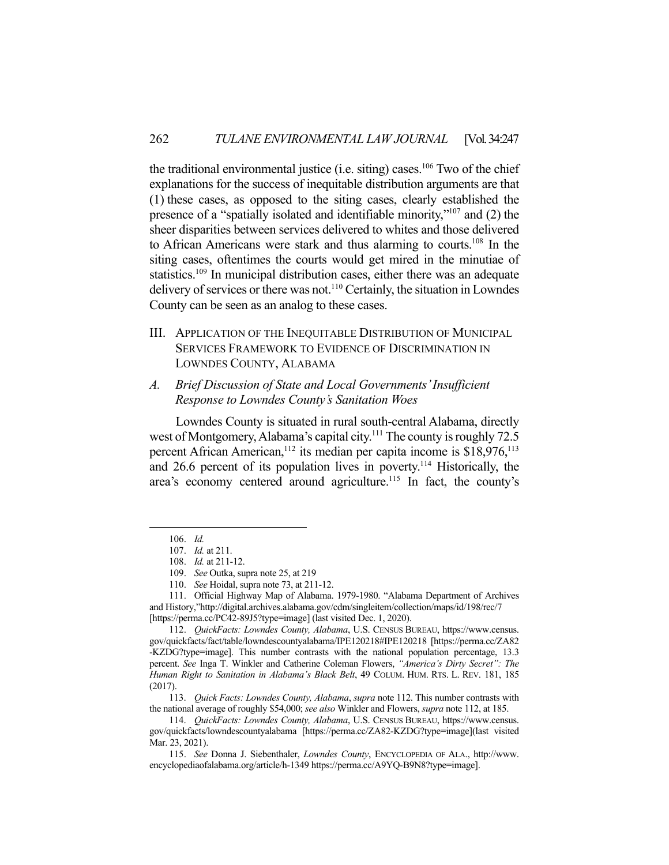the traditional environmental justice (i.e. siting) cases.<sup>106</sup> Two of the chief explanations for the success of inequitable distribution arguments are that (1) these cases, as opposed to the siting cases, clearly established the presence of a "spatially isolated and identifiable minority,"107 and (2) the sheer disparities between services delivered to whites and those delivered to African Americans were stark and thus alarming to courts.108 In the siting cases, oftentimes the courts would get mired in the minutiae of statistics.<sup>109</sup> In municipal distribution cases, either there was an adequate delivery of services or there was not.110 Certainly, the situation in Lowndes County can be seen as an analog to these cases.

III. APPLICATION OF THE INEQUITABLE DISTRIBUTION OF MUNICIPAL SERVICES FRAMEWORK TO EVIDENCE OF DISCRIMINATION IN LOWNDES COUNTY, ALABAMA

## *A. Brief Discussion of State and Local Governments' Insufficient Response to Lowndes County's Sanitation Woes*

 Lowndes County is situated in rural south-central Alabama, directly west of Montgomery, Alabama's capital city.<sup>111</sup> The county is roughly 72.5 percent African American,<sup>112</sup> its median per capita income is  $$18,976$ ,<sup>113</sup> and 26.6 percent of its population lives in poverty.<sup>114</sup> Historically, the area's economy centered around agriculture.<sup>115</sup> In fact, the county's

 113. *Quick Facts: Lowndes County, Alabama*, *supra* note 112. This number contrasts with the national average of roughly \$54,000; *see also* Winkler and Flowers, *supra* note 112, at 185.

 <sup>106.</sup> *Id.*

 <sup>107.</sup> *Id.* at 211.

 <sup>108.</sup> *Id.* at 211-12.

 <sup>109.</sup> *See* Outka, supra note 25, at 219

 <sup>110.</sup> *See* Hoidal, supra note 73, at 211-12.

 <sup>111.</sup> Official Highway Map of Alabama. 1979-1980. "Alabama Department of Archives and History,"http://digital.archives.alabama.gov/cdm/singleitem/collection/maps/id/198/rec/7 [https://perma.cc/PC42-89J5?type=image] (last visited Dec. 1, 2020).

 <sup>112.</sup> *QuickFacts: Lowndes County, Alabama*, U.S. CENSUS BUREAU, https://www.census. gov/quickfacts/fact/table/lowndescountyalabama/IPE120218#IPE120218 [https://perma.cc/ZA82 -KZDG?type=image]. This number contrasts with the national population percentage, 13.3 percent. *See* Inga T. Winkler and Catherine Coleman Flowers, *"America's Dirty Secret": The Human Right to Sanitation in Alabama's Black Belt*, 49 COLUM. HUM. RTS. L. REV. 181, 185 (2017).

 <sup>114.</sup> *QuickFacts: Lowndes County, Alabama*, U.S. CENSUS BUREAU, https://www.census. gov/quickfacts/lowndescountyalabama [https://perma.cc/ZA82-KZDG?type=image](last visited Mar. 23, 2021).

 <sup>115.</sup> *See* Donna J. Siebenthaler, *Lowndes County*, ENCYCLOPEDIA OF ALA., http://www. encyclopediaofalabama.org/article/h-1349 https://perma.cc/A9YQ-B9N8?type=image].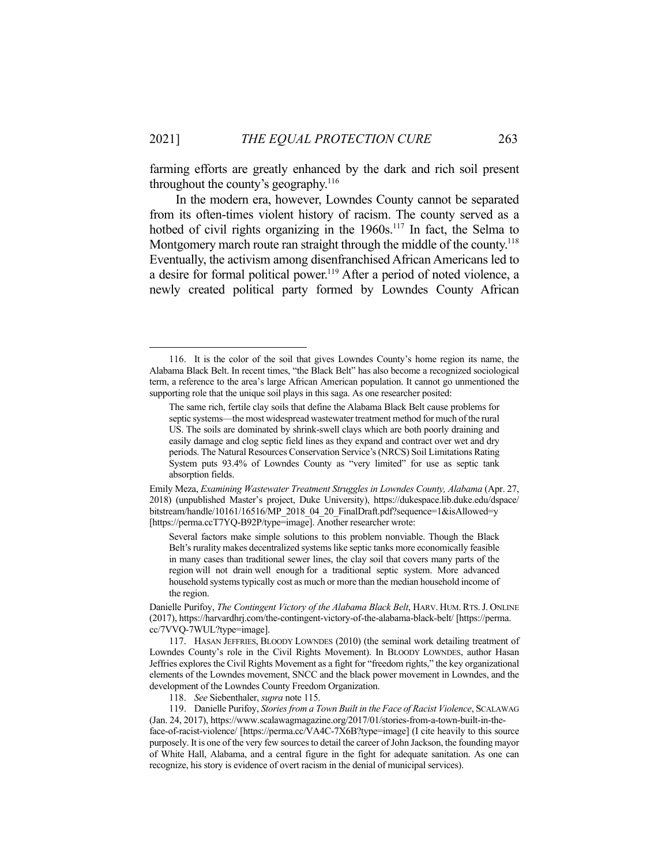farming efforts are greatly enhanced by the dark and rich soil present throughout the county's geography. $116$ 

 In the modern era, however, Lowndes County cannot be separated from its often-times violent history of racism. The county served as a hotbed of civil rights organizing in the 1960s.<sup>117</sup> In fact, the Selma to Montgomery march route ran straight through the middle of the county.<sup>118</sup> Eventually, the activism among disenfranchised African Americans led to a desire for formal political power.<sup>119</sup> After a period of noted violence, a newly created political party formed by Lowndes County African

Several factors make simple solutions to this problem nonviable. Though the Black Belt's rurality makes decentralized systems like septic tanks more economically feasible in many cases than traditional sewer lines, the clay soil that covers many parts of the region will not drain well enough for a traditional septic system. More advanced household systems typically cost as much or more than the median household income of the region.

 <sup>116.</sup> It is the color of the soil that gives Lowndes County's home region its name, the Alabama Black Belt. In recent times, "the Black Belt" has also become a recognized sociological term, a reference to the area's large African American population. It cannot go unmentioned the supporting role that the unique soil plays in this saga. As one researcher posited:

The same rich, fertile clay soils that define the Alabama Black Belt cause problems for septic systems—the most widespread wastewater treatment method for much of the rural US. The soils are dominated by shrink-swell clays which are both poorly draining and easily damage and clog septic field lines as they expand and contract over wet and dry periods. The Natural Resources Conservation Service's (NRCS) Soil Limitations Rating System puts 93.4% of Lowndes County as "very limited" for use as septic tank absorption fields.

Emily Meza, *Examining Wastewater Treatment Struggles in Lowndes County, Alabama* (Apr. 27, 2018) (unpublished Master's project, Duke University), https://dukespace.lib.duke.edu/dspace/ bitstream/handle/10161/16516/MP\_2018\_04\_20\_FinalDraft.pdf?sequence=1&isAllowed=y [https://perma.ccT7YQ-B92P/type=image]. Another researcher wrote:

Danielle Purifoy, *The Contingent Victory of the Alabama Black Belt*, HARV. HUM. RTS.J. ONLINE (2017), https://harvardhrj.com/the-contingent-victory-of-the-alabama-black-belt/ [https://perma. cc/7VVQ-7WUL?type=image].

 <sup>117.</sup> HASAN JEFFRIES, BLOODY LOWNDES (2010) (the seminal work detailing treatment of Lowndes County's role in the Civil Rights Movement). In BLOODY LOWNDES, author Hasan Jeffries explores the Civil Rights Movement as a fight for "freedom rights," the key organizational elements of the Lowndes movement, SNCC and the black power movement in Lowndes, and the development of the Lowndes County Freedom Organization.

 <sup>118.</sup> *See* Siebenthaler, *supra* note 115.

 <sup>119.</sup> Danielle Purifoy, *Stories from a Town Built in the Face of Racist Violence*, SCALAWAG (Jan. 24, 2017), https://www.scalawagmagazine.org/2017/01/stories-from-a-town-built-in-theface-of-racist-violence/ [https://perma.cc/VA4C-7X6B?type=image] (I cite heavily to this source purposely. It is one of the very few sources to detail the career of John Jackson, the founding mayor of White Hall, Alabama, and a central figure in the fight for adequate sanitation. As one can recognize, his story is evidence of overt racism in the denial of municipal services).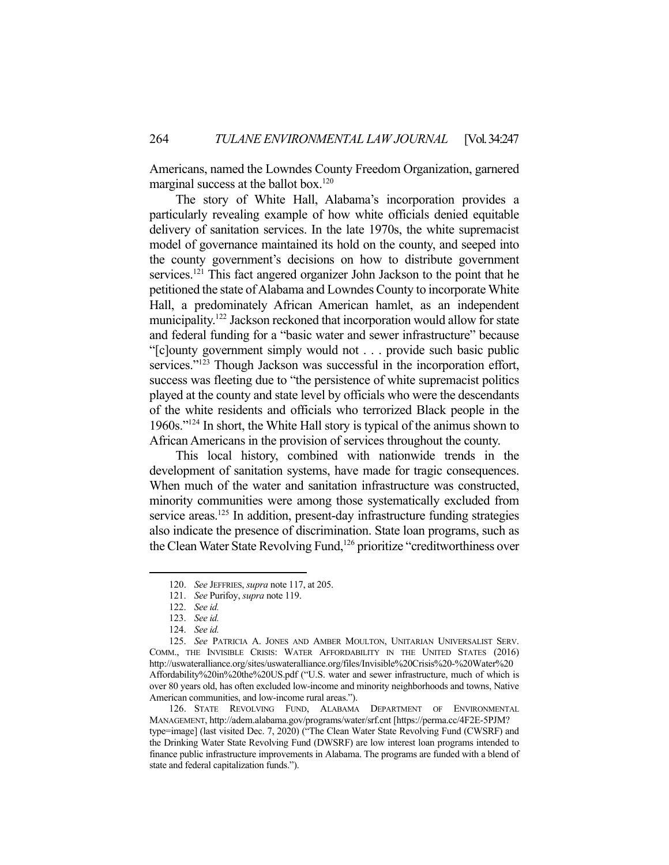Americans, named the Lowndes County Freedom Organization, garnered marginal success at the ballot box.<sup>120</sup>

 The story of White Hall, Alabama's incorporation provides a particularly revealing example of how white officials denied equitable delivery of sanitation services. In the late 1970s, the white supremacist model of governance maintained its hold on the county, and seeped into the county government's decisions on how to distribute government services.<sup>121</sup> This fact angered organizer John Jackson to the point that he petitioned the state of Alabama and Lowndes County to incorporate White Hall, a predominately African American hamlet, as an independent municipality.<sup>122</sup> Jackson reckoned that incorporation would allow for state and federal funding for a "basic water and sewer infrastructure" because "[c]ounty government simply would not . . . provide such basic public services."<sup>123</sup> Though Jackson was successful in the incorporation effort, success was fleeting due to "the persistence of white supremacist politics played at the county and state level by officials who were the descendants of the white residents and officials who terrorized Black people in the 1960s."124 In short, the White Hall story is typical of the animus shown to African Americans in the provision of services throughout the county.

 This local history, combined with nationwide trends in the development of sanitation systems, have made for tragic consequences. When much of the water and sanitation infrastructure was constructed, minority communities were among those systematically excluded from service areas.<sup>125</sup> In addition, present-day infrastructure funding strategies also indicate the presence of discrimination. State loan programs, such as the Clean Water State Revolving Fund,<sup>126</sup> prioritize "creditworthiness over

 <sup>120.</sup> *See* JEFFRIES, *supra* note 117, at 205.

 <sup>121.</sup> *See* Purifoy, *supra* note 119.

 <sup>122.</sup> *See id.*

 <sup>123.</sup> *See id.*

 <sup>124.</sup> *See id.*

 <sup>125.</sup> *See* PATRICIA A. JONES AND AMBER MOULTON, UNITARIAN UNIVERSALIST SERV. COMM., THE INVISIBLE CRISIS: WATER AFFORDABILITY IN THE UNITED STATES (2016) http://uswateralliance.org/sites/uswateralliance.org/files/Invisible%20Crisis%20-%20Water%20 Affordability%20in%20the%20US.pdf ("U.S. water and sewer infrastructure, much of which is over 80 years old, has often excluded low-income and minority neighborhoods and towns, Native American communities, and low-income rural areas.").

 <sup>126.</sup> STATE REVOLVING FUND, ALABAMA DEPARTMENT OF ENVIRONMENTAL MANAGEMENT, http://adem.alabama.gov/programs/water/srf.cnt [https://perma.cc/4F2E-5PJM? type=image] (last visited Dec. 7, 2020) ("The Clean Water State Revolving Fund (CWSRF) and the Drinking Water State Revolving Fund (DWSRF) are low interest loan programs intended to finance public infrastructure improvements in Alabama. The programs are funded with a blend of state and federal capitalization funds.").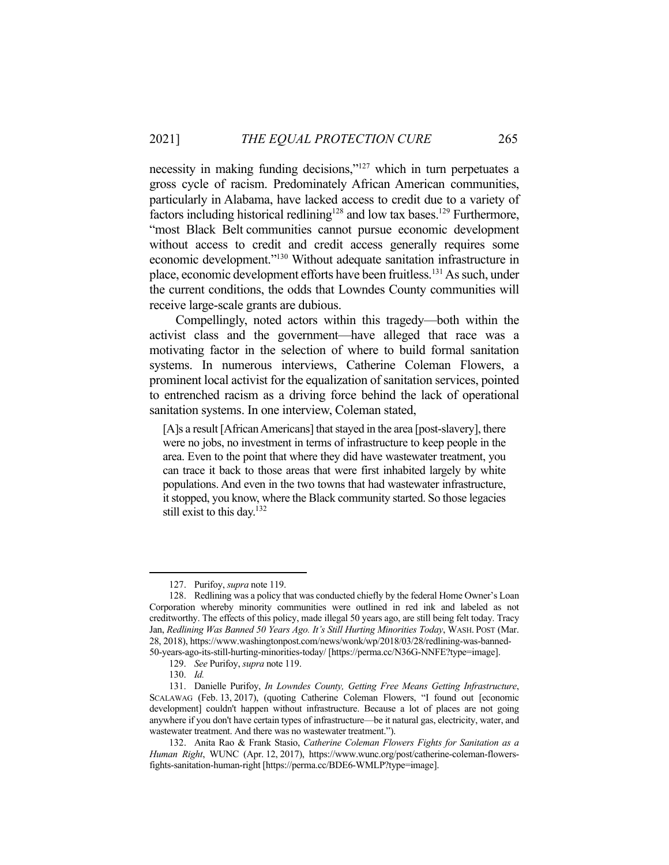necessity in making funding decisions,"<sup>127</sup> which in turn perpetuates a gross cycle of racism. Predominately African American communities, particularly in Alabama, have lacked access to credit due to a variety of factors including historical redlining<sup>128</sup> and low tax bases.<sup>129</sup> Furthermore, "most Black Belt communities cannot pursue economic development without access to credit and credit access generally requires some economic development."130 Without adequate sanitation infrastructure in place, economic development efforts have been fruitless.131 As such, under the current conditions, the odds that Lowndes County communities will receive large-scale grants are dubious.

 Compellingly, noted actors within this tragedy—both within the activist class and the government—have alleged that race was a motivating factor in the selection of where to build formal sanitation systems. In numerous interviews, Catherine Coleman Flowers, a prominent local activist for the equalization of sanitation services, pointed to entrenched racism as a driving force behind the lack of operational sanitation systems. In one interview, Coleman stated,

[A]s a result [African Americans] that stayed in the area [post-slavery], there were no jobs, no investment in terms of infrastructure to keep people in the area. Even to the point that where they did have wastewater treatment, you can trace it back to those areas that were first inhabited largely by white populations. And even in the two towns that had wastewater infrastructure, it stopped, you know, where the Black community started. So those legacies still exist to this day.<sup>132</sup>

 <sup>127.</sup> Purifoy, *supra* note 119.

 <sup>128.</sup> Redlining was a policy that was conducted chiefly by the federal Home Owner's Loan Corporation whereby minority communities were outlined in red ink and labeled as not creditworthy. The effects of this policy, made illegal 50 years ago, are still being felt today. Tracy Jan, *Redlining Was Banned 50 Years Ago. It's Still Hurting Minorities Today*, WASH. POST (Mar. 28, 2018), https://www.washingtonpost.com/news/wonk/wp/2018/03/28/redlining-was-banned-50-years-ago-its-still-hurting-minorities-today/ [https://perma.cc/N36G-NNFE?type=image].

 <sup>129.</sup> *See* Purifoy, *supra* note 119.

 <sup>130.</sup> *Id.*

 <sup>131.</sup> Danielle Purifoy, *In Lowndes County, Getting Free Means Getting Infrastructure*, SCALAWAG (Feb. 13, 2017), (quoting Catherine Coleman Flowers, "I found out [economic development] couldn't happen without infrastructure. Because a lot of places are not going anywhere if you don't have certain types of infrastructure—be it natural gas, electricity, water, and wastewater treatment. And there was no wastewater treatment.").

 <sup>132.</sup> Anita Rao & Frank Stasio, *Catherine Coleman Flowers Fights for Sanitation as a Human Right*, WUNC (Apr. 12, 2017), https://www.wunc.org/post/catherine-coleman-flowersfights-sanitation-human-right [https://perma.cc/BDE6-WMLP?type=image].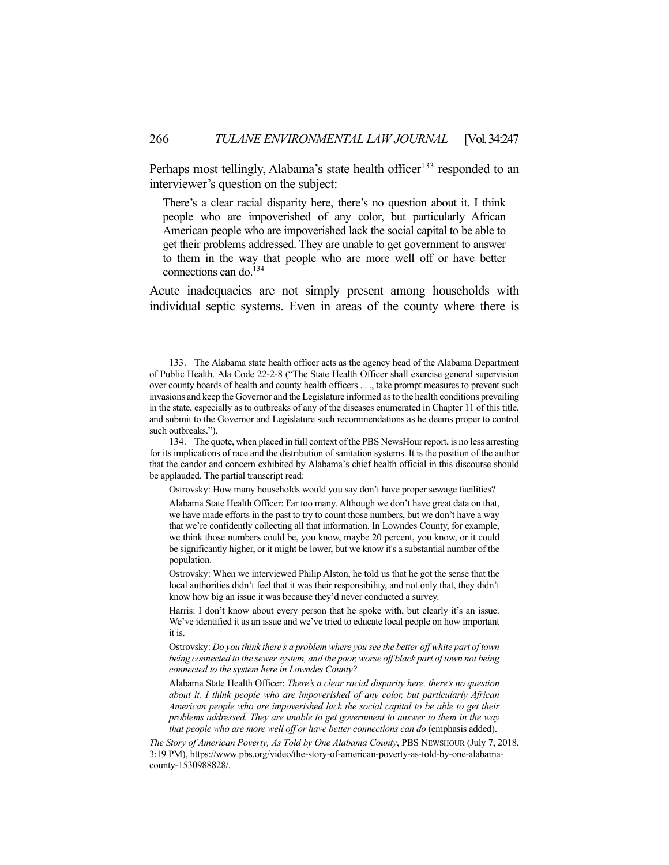Perhaps most tellingly, Alabama's state health officer<sup>133</sup> responded to an interviewer's question on the subject:

There's a clear racial disparity here, there's no question about it. I think people who are impoverished of any color, but particularly African American people who are impoverished lack the social capital to be able to get their problems addressed. They are unable to get government to answer to them in the way that people who are more well off or have better connections can do.<sup>134</sup>

Acute inadequacies are not simply present among households with individual septic systems. Even in areas of the county where there is

Ostrovsky: How many households would you say don't have proper sewage facilities?

 <sup>133.</sup> The Alabama state health officer acts as the agency head of the Alabama Department of Public Health. Ala Code 22-2-8 ("The State Health Officer shall exercise general supervision over county boards of health and county health officers . . ., take prompt measures to prevent such invasions and keep the Governor and the Legislature informed as to the health conditions prevailing in the state, especially as to outbreaks of any of the diseases enumerated in Chapter 11 of this title, and submit to the Governor and Legislature such recommendations as he deems proper to control such outbreaks.").

 <sup>134.</sup> The quote, when placed in full context of the PBS NewsHour report, is no less arresting for its implications of race and the distribution of sanitation systems. It is the position of the author that the candor and concern exhibited by Alabama's chief health official in this discourse should be applauded. The partial transcript read:

Alabama State Health Officer: Far too many. Although we don't have great data on that, we have made efforts in the past to try to count those numbers, but we don't have a way that we're confidently collecting all that information. In Lowndes County, for example, we think those numbers could be, you know, maybe 20 percent, you know, or it could be significantly higher, or it might be lower, but we know it's a substantial number of the population.

Ostrovsky: When we interviewed Philip Alston, he told us that he got the sense that the local authorities didn't feel that it was their responsibility, and not only that, they didn't know how big an issue it was because they'd never conducted a survey.

Harris: I don't know about every person that he spoke with, but clearly it's an issue. We've identified it as an issue and we've tried to educate local people on how important it is.

Ostrovsky: *Do you think there's a problem where you see the better off white part of town being connected to the sewer system, and the poor, worse off black part of town not being connected to the system here in Lowndes County?* 

Alabama State Health Officer: *There's a clear racial disparity here, there's no question about it. I think people who are impoverished of any color, but particularly African American people who are impoverished lack the social capital to be able to get their problems addressed. They are unable to get government to answer to them in the way that people who are more well off or have better connections can do* (emphasis added).

*The Story of American Poverty, As Told by One Alabama County*, PBS NEWSHOUR (July 7, 2018, 3:19 PM), https://www.pbs.org/video/the-story-of-american-poverty-as-told-by-one-alabamacounty-1530988828/.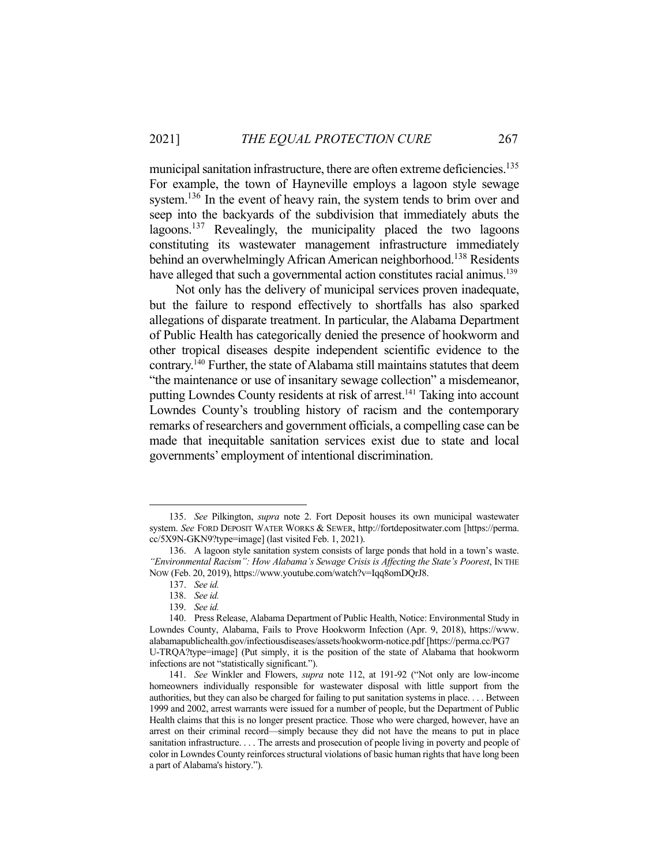municipal sanitation infrastructure, there are often extreme deficiencies.<sup>135</sup> For example, the town of Hayneville employs a lagoon style sewage system.<sup>136</sup> In the event of heavy rain, the system tends to brim over and seep into the backyards of the subdivision that immediately abuts the lagoons.<sup>137</sup> Revealingly, the municipality placed the two lagoons constituting its wastewater management infrastructure immediately behind an overwhelmingly African American neighborhood.<sup>138</sup> Residents have alleged that such a governmental action constitutes racial animus.<sup>139</sup>

 Not only has the delivery of municipal services proven inadequate, but the failure to respond effectively to shortfalls has also sparked allegations of disparate treatment. In particular, the Alabama Department of Public Health has categorically denied the presence of hookworm and other tropical diseases despite independent scientific evidence to the contrary.140 Further, the state of Alabama still maintains statutes that deem "the maintenance or use of insanitary sewage collection" a misdemeanor, putting Lowndes County residents at risk of arrest.<sup>141</sup> Taking into account Lowndes County's troubling history of racism and the contemporary remarks of researchers and government officials, a compelling case can be made that inequitable sanitation services exist due to state and local governments' employment of intentional discrimination.

 <sup>135.</sup> *See* Pilkington, *supra* note 2. Fort Deposit houses its own municipal wastewater system. *See* FORD DEPOSIT WATER WORKS & SEWER, http://fortdepositwater.com [https://perma. cc/5X9N-GKN9?type=image] (last visited Feb. 1, 2021).

 <sup>136.</sup> A lagoon style sanitation system consists of large ponds that hold in a town's waste. *"Environmental Racism": How Alabama's Sewage Crisis is Affecting the State's Poorest*, IN THE NOW (Feb. 20, 2019), https://www.youtube.com/watch?v=Iqq8omDQrJ8.

 <sup>137.</sup> *See id.* 

 <sup>138.</sup> *See id.*

 <sup>139.</sup> *See id.* 

 <sup>140.</sup> Press Release, Alabama Department of Public Health, Notice: Environmental Study in Lowndes County, Alabama, Fails to Prove Hookworm Infection (Apr. 9, 2018), https://www. alabamapublichealth.gov/infectiousdiseases/assets/hookworm-notice.pdf [https://perma.cc/PG7 U-TRQA?type=image] (Put simply, it is the position of the state of Alabama that hookworm infections are not "statistically significant.").

 <sup>141.</sup> *See* Winkler and Flowers, *supra* note 112, at 191-92 ("Not only are low-income homeowners individually responsible for wastewater disposal with little support from the authorities, but they can also be charged for failing to put sanitation systems in place. . . . Between 1999 and 2002, arrest warrants were issued for a number of people, but the Department of Public Health claims that this is no longer present practice. Those who were charged, however, have an arrest on their criminal record—simply because they did not have the means to put in place sanitation infrastructure. . . . The arrests and prosecution of people living in poverty and people of color in Lowndes County reinforces structural violations of basic human rights that have long been a part of Alabama's history.").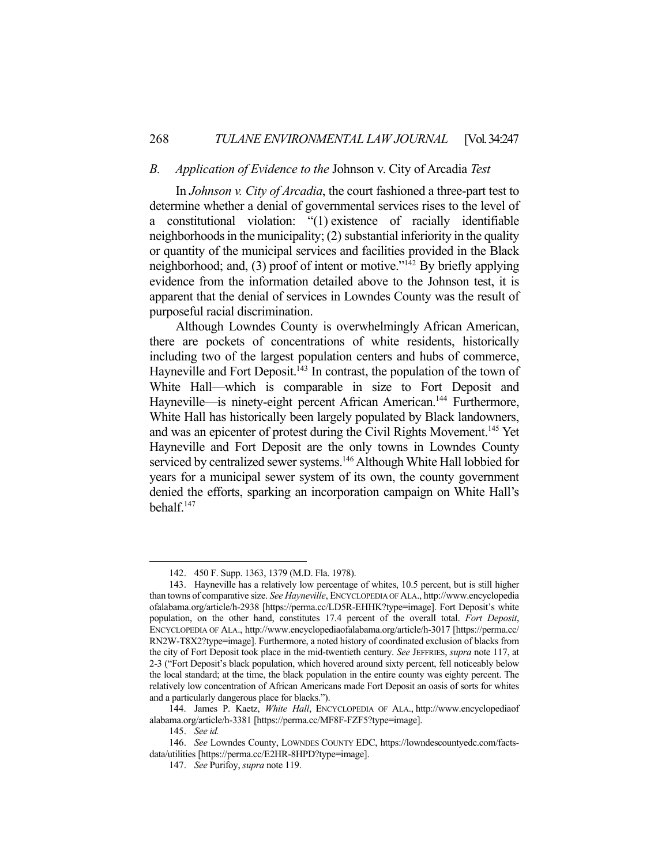### *B. Application of Evidence to the* Johnson v. City of Arcadia *Test*

 In *Johnson v. City of Arcadia*, the court fashioned a three-part test to determine whether a denial of governmental services rises to the level of a constitutional violation: "(1) existence of racially identifiable neighborhoods in the municipality; (2) substantial inferiority in the quality or quantity of the municipal services and facilities provided in the Black neighborhood; and, (3) proof of intent or motive."142 By briefly applying evidence from the information detailed above to the Johnson test, it is apparent that the denial of services in Lowndes County was the result of purposeful racial discrimination.

 Although Lowndes County is overwhelmingly African American, there are pockets of concentrations of white residents, historically including two of the largest population centers and hubs of commerce, Hayneville and Fort Deposit.<sup>143</sup> In contrast, the population of the town of White Hall—which is comparable in size to Fort Deposit and Hayneville—is ninety-eight percent African American.<sup>144</sup> Furthermore, White Hall has historically been largely populated by Black landowners, and was an epicenter of protest during the Civil Rights Movement.145 Yet Hayneville and Fort Deposit are the only towns in Lowndes County serviced by centralized sewer systems.<sup>146</sup> Although White Hall lobbied for years for a municipal sewer system of its own, the county government denied the efforts, sparking an incorporation campaign on White Hall's behalf.147

 <sup>142. 450</sup> F. Supp. 1363, 1379 (M.D. Fla. 1978).

 <sup>143.</sup> Hayneville has a relatively low percentage of whites, 10.5 percent, but is still higher than towns of comparative size. *See Hayneville*, ENCYCLOPEDIA OF ALA., http://www.encyclopedia ofalabama.org/article/h-2938 [https://perma.cc/LD5R-EHHK?type=image]. Fort Deposit's white population, on the other hand, constitutes 17.4 percent of the overall total. *Fort Deposit*, ENCYCLOPEDIA OF ALA., http://www.encyclopediaofalabama.org/article/h-3017 [https://perma.cc/ RN2W-T8X2?type=image]. Furthermore, a noted history of coordinated exclusion of blacks from the city of Fort Deposit took place in the mid-twentieth century. *See* JEFFRIES, *supra* note 117, at 2-3 ("Fort Deposit's black population, which hovered around sixty percent, fell noticeably below the local standard; at the time, the black population in the entire county was eighty percent. The relatively low concentration of African Americans made Fort Deposit an oasis of sorts for whites and a particularly dangerous place for blacks.").

 <sup>144.</sup> James P. Kaetz, *White Hall*, ENCYCLOPEDIA OF ALA., http://www.encyclopediaof alabama.org/article/h-3381 [https://perma.cc/MF8F-FZF5?type=image].

 <sup>145.</sup> *See id.*

 <sup>146.</sup> *See* Lowndes County, LOWNDES COUNTY EDC, https://lowndescountyedc.com/factsdata/utilities [https://perma.cc/E2HR-8HPD?type=image].

 <sup>147.</sup> *See* Purifoy, *supra* note 119.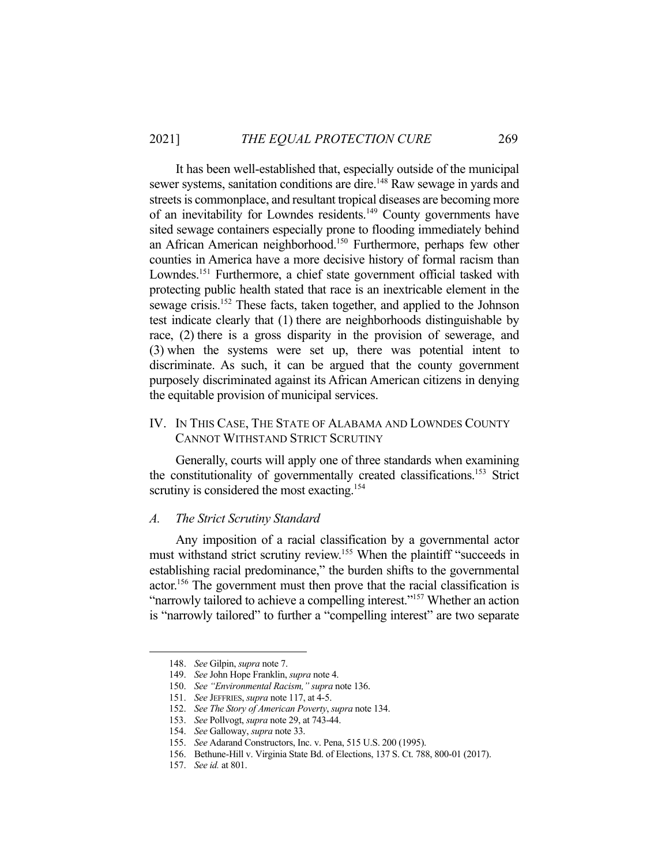It has been well-established that, especially outside of the municipal sewer systems, sanitation conditions are dire.<sup>148</sup> Raw sewage in yards and streets is commonplace, and resultant tropical diseases are becoming more of an inevitability for Lowndes residents.149 County governments have sited sewage containers especially prone to flooding immediately behind an African American neighborhood.150 Furthermore, perhaps few other counties in America have a more decisive history of formal racism than Lowndes.<sup>151</sup> Furthermore, a chief state government official tasked with protecting public health stated that race is an inextricable element in the sewage crisis.<sup>152</sup> These facts, taken together, and applied to the Johnson test indicate clearly that (1) there are neighborhoods distinguishable by race, (2) there is a gross disparity in the provision of sewerage, and (3) when the systems were set up, there was potential intent to discriminate. As such, it can be argued that the county government purposely discriminated against its African American citizens in denying the equitable provision of municipal services.

## IV. IN THIS CASE, THE STATE OF ALABAMA AND LOWNDES COUNTY CANNOT WITHSTAND STRICT SCRUTINY

 Generally, courts will apply one of three standards when examining the constitutionality of governmentally created classifications. 153 Strict scrutiny is considered the most exacting.<sup>154</sup>

#### *A. The Strict Scrutiny Standard*

 Any imposition of a racial classification by a governmental actor must withstand strict scrutiny review.155 When the plaintiff "succeeds in establishing racial predominance," the burden shifts to the governmental actor.156 The government must then prove that the racial classification is "narrowly tailored to achieve a compelling interest."<sup>157</sup> Whether an action is "narrowly tailored" to further a "compelling interest" are two separate

 <sup>148.</sup> *See* Gilpin, *supra* note 7.

 <sup>149.</sup> *See* John Hope Franklin, *supra* note 4.

 <sup>150.</sup> *See "Environmental Racism," supra* note 136.

 <sup>151.</sup> *See* JEFFRIES, *supra* note 117, at 4-5.

 <sup>152.</sup> *See The Story of American Poverty*, *supra* note 134.

 <sup>153.</sup> *See* Pollvogt, *supra* note 29, at 743-44.

 <sup>154.</sup> *See* Galloway, *supra* note 33.

 <sup>155.</sup> *See* Adarand Constructors, Inc. v. Pena, 515 U.S. 200 (1995).

 <sup>156.</sup> Bethune-Hill v. Virginia State Bd. of Elections, 137 S. Ct. 788, 800-01 (2017).

 <sup>157.</sup> *See id.* at 801.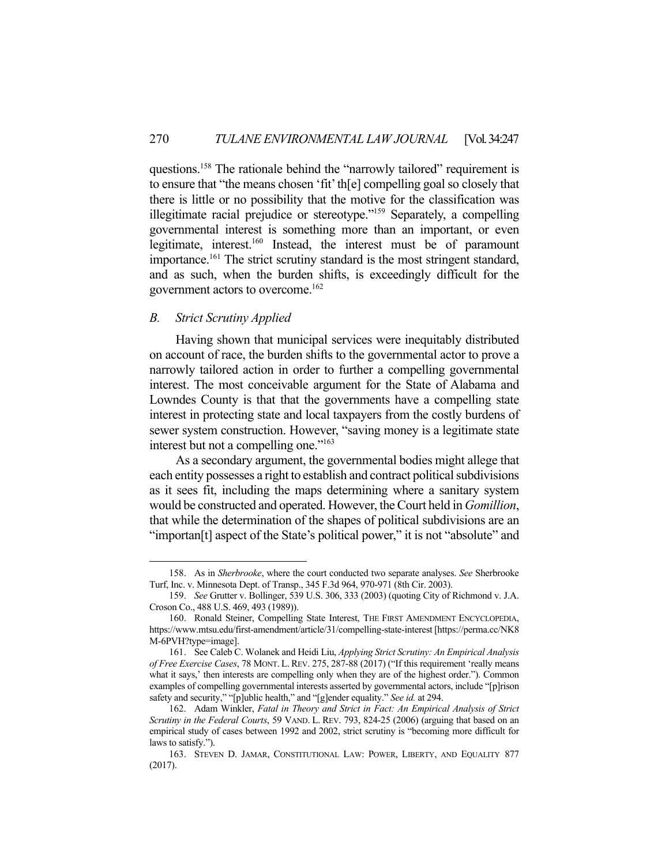questions.158 The rationale behind the "narrowly tailored" requirement is to ensure that "the means chosen 'fit' th[e] compelling goal so closely that there is little or no possibility that the motive for the classification was illegitimate racial prejudice or stereotype."159 Separately, a compelling governmental interest is something more than an important, or even legitimate, interest.160 Instead, the interest must be of paramount importance.<sup>161</sup> The strict scrutiny standard is the most stringent standard, and as such, when the burden shifts, is exceedingly difficult for the government actors to overcome.162

## *B. Strict Scrutiny Applied*

Having shown that municipal services were inequitably distributed on account of race, the burden shifts to the governmental actor to prove a narrowly tailored action in order to further a compelling governmental interest. The most conceivable argument for the State of Alabama and Lowndes County is that that the governments have a compelling state interest in protecting state and local taxpayers from the costly burdens of sewer system construction. However, "saving money is a legitimate state interest but not a compelling one."163

 As a secondary argument, the governmental bodies might allege that each entity possesses a right to establish and contract political subdivisions as it sees fit, including the maps determining where a sanitary system would be constructed and operated. However, the Court held in *Gomillion*, that while the determination of the shapes of political subdivisions are an "importan[t] aspect of the State's political power," it is not "absolute" and

 <sup>158.</sup> As in *Sherbrooke*, where the court conducted two separate analyses. *See* Sherbrooke Turf, Inc. v. Minnesota Dept. of Transp., 345 F.3d 964, 970-971 (8th Cir. 2003).

 <sup>159.</sup> *See* Grutter v. Bollinger, 539 U.S. 306, 333 (2003) (quoting City of Richmond v. J.A. Croson Co., 488 U.S. 469, 493 (1989)).

 <sup>160.</sup> Ronald Steiner, Compelling State Interest, THE FIRST AMENDMENT ENCYCLOPEDIA, https://www.mtsu.edu/first-amendment/article/31/compelling-state-interest [https://perma.cc/NK8 M-6PVH?type=image].

 <sup>161.</sup> See Caleb C. Wolanek and Heidi Liu, *Applying Strict Scrutiny: An Empirical Analysis of Free Exercise Cases*, 78 MONT. L. REV. 275, 287-88 (2017) ("If this requirement 'really means what it says,' then interests are compelling only when they are of the highest order."). Common examples of compelling governmental interests asserted by governmental actors, include "[p]rison safety and security," "[p]ublic health," and "[g]ender equality." *See id.* at 294.

 <sup>162.</sup> Adam Winkler, *Fatal in Theory and Strict in Fact: An Empirical Analysis of Strict Scrutiny in the Federal Courts*, 59 VAND. L. REV. 793, 824-25 (2006) (arguing that based on an empirical study of cases between 1992 and 2002, strict scrutiny is "becoming more difficult for laws to satisfy.").

 <sup>163.</sup> STEVEN D. JAMAR, CONSTITUTIONAL LAW: POWER, LIBERTY, AND EQUALITY 877 (2017).